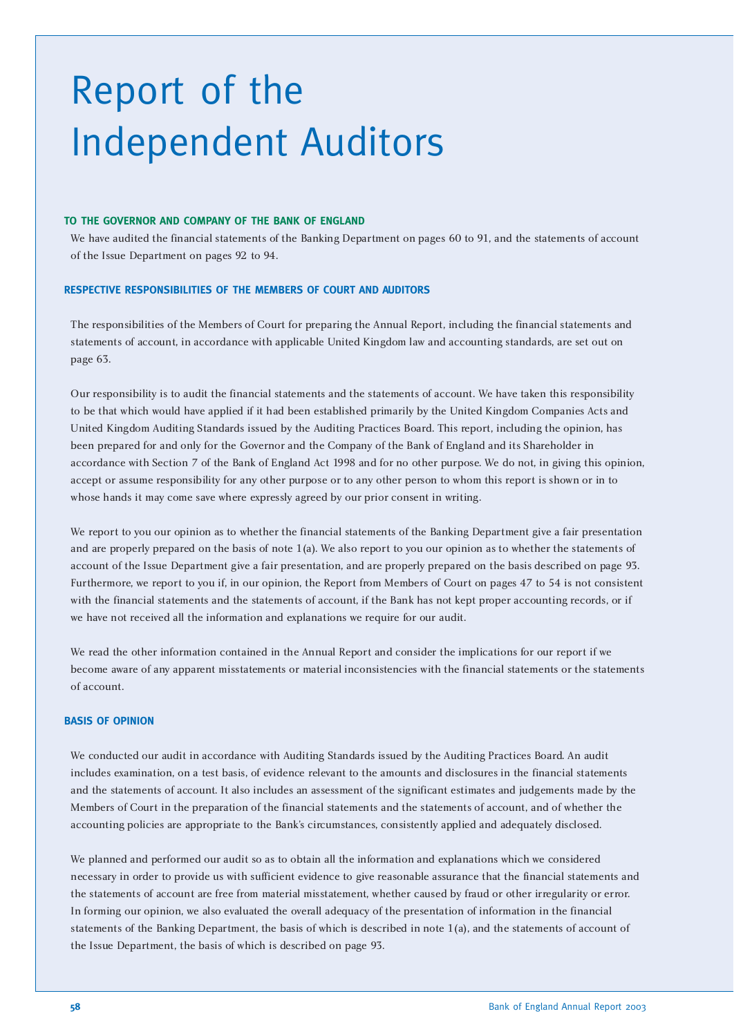# Report of the Independent Auditors

#### **TO THE GOVERNOR AND COMPANY OF THE BANK OF ENGLAND**

We have audited the financial statements of the Banking Department on pages 60 to 91, and the statements of account of the Issue Department on pages 92 to 94.

#### **RESPECTIVE RESPONSIBILITIES OF THE MEMBERS OF COURT AND AUDITORS**

The responsibilities of the Members of Court for preparing the Annual Report, including the financial statements and statements of account, in accordance with applicable United Kingdom law and accounting standards, are set out on page 63.

Our responsibility is to audit the financial statements and the statements of account. We have taken this responsibility to be that which would have applied if it had been established primarily by the United Kingdom Companies Acts and United Kingdom Auditing Standards issued by the Auditing Practices Board. This report, including the opinion, has been prepared for and only for the Governor and the Company of the Bank of England and its Shareholder in accordance with Section 7 of the Bank of England Act 1998 and for no other purpose. We do not, in giving this opinion, accept or assume responsibility for any other purpose or to any other person to whom this report is shown or in to whose hands it may come save where expressly agreed by our prior consent in writing.

We report to you our opinion as to whether the financial statements of the Banking Department give a fair presentation and are properly prepared on the basis of note 1(a). We also report to you our opinion as to whether the statements of account of the Issue Department give a fair presentation, and are properly prepared on the basis described on page 93. Furthermore, we report to you if, in our opinion, the Report from Members of Court on pages 47 to 54 is not consistent with the financial statements and the statements of account, if the Bank has not kept proper accounting records, or if we have not received all the information and explanations we require for our audit.

We read the other information contained in the Annual Report and consider the implications for our report if we become aware of any apparent misstatements or material inconsistencies with the financial statements or the statements of account.

#### **BASIS OF OPINION**

We conducted our audit in accordance with Auditing Standards issued by the Auditing Practices Board. An audit includes examination, on a test basis, of evidence relevant to the amounts and disclosures in the financial statements and the statements of account. It also includes an assessment of the significant estimates and judgements made by the Members of Court in the preparation of the financial statements and the statements of account, and of whether the accounting policies are appropriate to the Bank's circumstances, consistently applied and adequately disclosed.

We planned and performed our audit so as to obtain all the information and explanations which we considered necessary in order to provide us with sufficient evidence to give reasonable assurance that the financial statements and the statements of account are free from material misstatement, whether caused by fraud or other irregularity or error. In forming our opinion, we also evaluated the overall adequacy of the presentation of information in the financial statements of the Banking Department, the basis of which is described in note 1(a), and the statements of account of the Issue Department, the basis of which is described on page 93.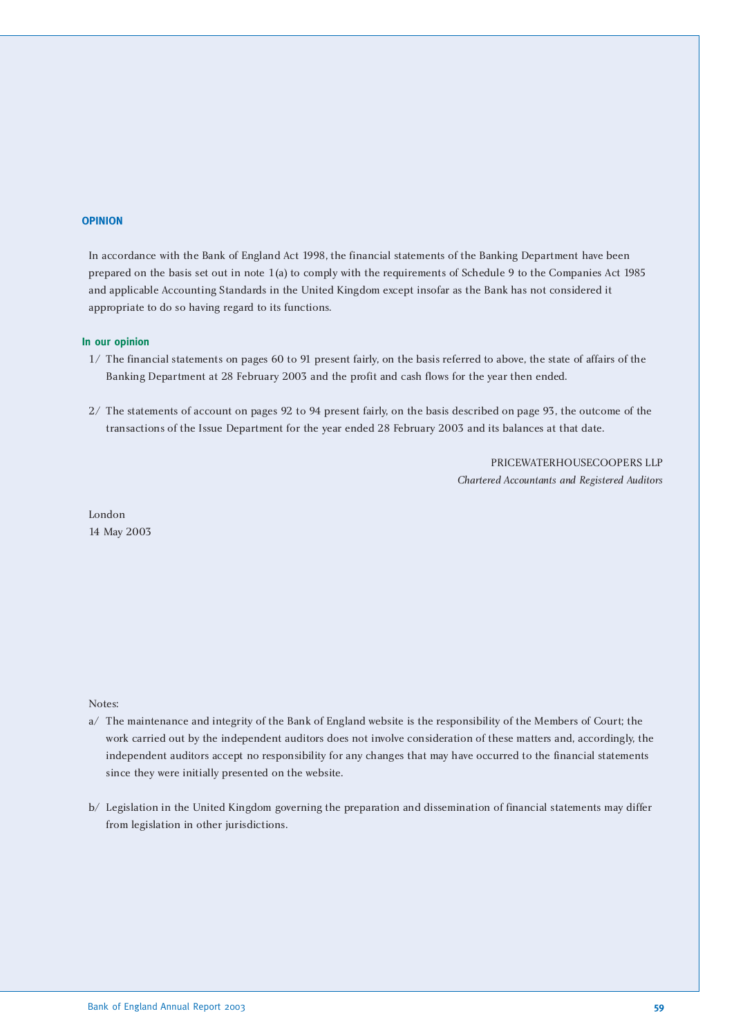#### **OPINION**

In accordance with the Bank of England Act 1998, the financial statements of the Banking Department have been prepared on the basis set out in note 1(a) to comply with the requirements of Schedule 9 to the Companies Act 1985 and applicable Accounting Standards in the United Kingdom except insofar as the Bank has not considered it appropriate to do so having regard to its functions.

#### **In our opinion**

- 1/ The financial statements on pages 60 to 91 present fairly, on the basis referred to above, the state of affairs of the Banking Department at 28 February 2003 and the profit and cash flows for the year then ended.
- 2/ The statements of account on pages 92 to 94 present fairly, on the basis described on page 93, the outcome of the transactions of the Issue Department for the year ended 28 February 2003 and its balances at that date.

PRICEWATERHOUSECOOPERS LLP *Chartered Accountants and Registered Auditors*

London 14 May 2003

Notes:

- a/ The maintenance and integrity of the Bank of England website is the responsibility of the Members of Court; the work carried out by the independent auditors does not involve consideration of these matters and, accordingly, the independent auditors accept no responsibility for any changes that may have occurred to the financial statements since they were initially presented on the website.
- b/ Legislation in the United Kingdom governing the preparation and dissemination of financial statements may differ from legislation in other jurisdictions.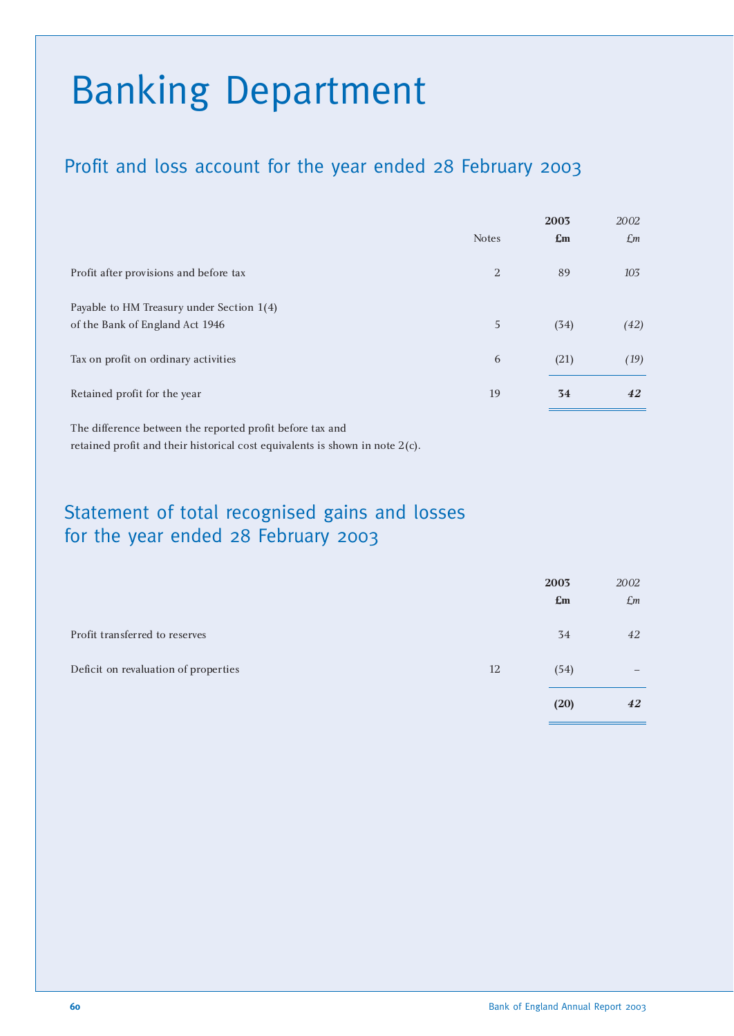# Banking Department

## Profit and loss account for the year ended 28 February 2003

|                                           |              | 2003           | 2002            |
|-------------------------------------------|--------------|----------------|-----------------|
|                                           | <b>Notes</b> | $\mathbf{E}$ m | $\mathcal{L}$ m |
| Profit after provisions and before tax    | 2            | 89             | 103             |
| Payable to HM Treasury under Section 1(4) |              |                |                 |
| of the Bank of England Act 1946           | 5            | (34)           | (42)            |
| Tax on profit on ordinary activities      | 6            | (21)           | (19)            |
| Retained profit for the year              | 19           | 34             | 42              |
|                                           |              |                |                 |

The difference between the reported profit before tax and retained profit and their historical cost equivalents is shown in note 2(c).

## Statement of total recognised gains and losses for the year ended 28 February 2003

|                                      |    | 2003           | 2002        |
|--------------------------------------|----|----------------|-------------|
|                                      |    | $\mathbf{E}$ m | $\pounds$ m |
| Profit transferred to reserves       |    | 34             | 42          |
| Deficit on revaluation of properties | 12 | (54)           |             |
|                                      |    | (20)           | 42          |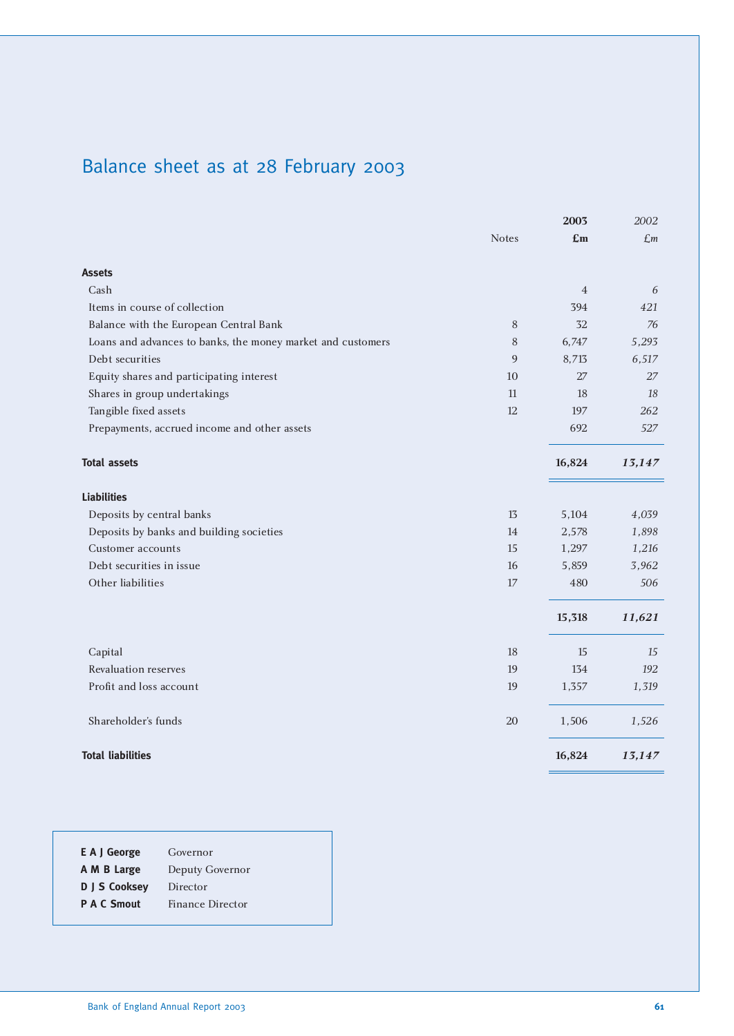# Balance sheet as at 28 February 2003

|                                                             |              | 2003           | 2002           |
|-------------------------------------------------------------|--------------|----------------|----------------|
|                                                             | <b>Notes</b> | £m             | $\mathcal{L}m$ |
| <b>Assets</b>                                               |              |                |                |
| Cash                                                        |              | $\overline{4}$ | 6              |
| Items in course of collection                               |              | 394            | 421            |
| Balance with the European Central Bank                      | $\,8\,$      | 32             | 76             |
| Loans and advances to banks, the money market and customers | 8            | 6,747          | 5,293          |
| Debt securities                                             | 9            | 8,713          | 6,517          |
| Equity shares and participating interest                    | 10           | 27             | 27             |
| Shares in group undertakings                                | 11           | 18             | 18             |
| Tangible fixed assets                                       | 12           | 197            | 262            |
| Prepayments, accrued income and other assets                |              | 692            | 527            |
| <b>Total assets</b>                                         |              | 16,824         | 13,147         |
| <b>Liabilities</b>                                          |              |                |                |
| Deposits by central banks                                   | 13           | 5,104          | 4,039          |
| Deposits by banks and building societies                    | 14           | 2,578          | 1,898          |
| Customer accounts                                           | 15           | 1,297          | 1,216          |
| Debt securities in issue                                    | 16           | 5,859          | 3,962          |
| Other liabilities                                           | 17           | 480            | 506            |
|                                                             |              | 15,318         | 11,621         |
| Capital                                                     | 18           | 15             | 15             |
| Revaluation reserves                                        | 19           | 134            | 192            |
| Profit and loss account                                     | 19           | 1,357          | 1,319          |
| Shareholder's funds                                         | 20           | 1,506          | 1,526          |
| <b>Total liabilities</b>                                    |              | 16,824         | 13,147         |

| E A J George       | Governor         |
|--------------------|------------------|
| A M B Large        | Deputy Governor  |
| D J S Cooksey      | Director         |
| <b>P A C Smout</b> | Finance Director |
|                    |                  |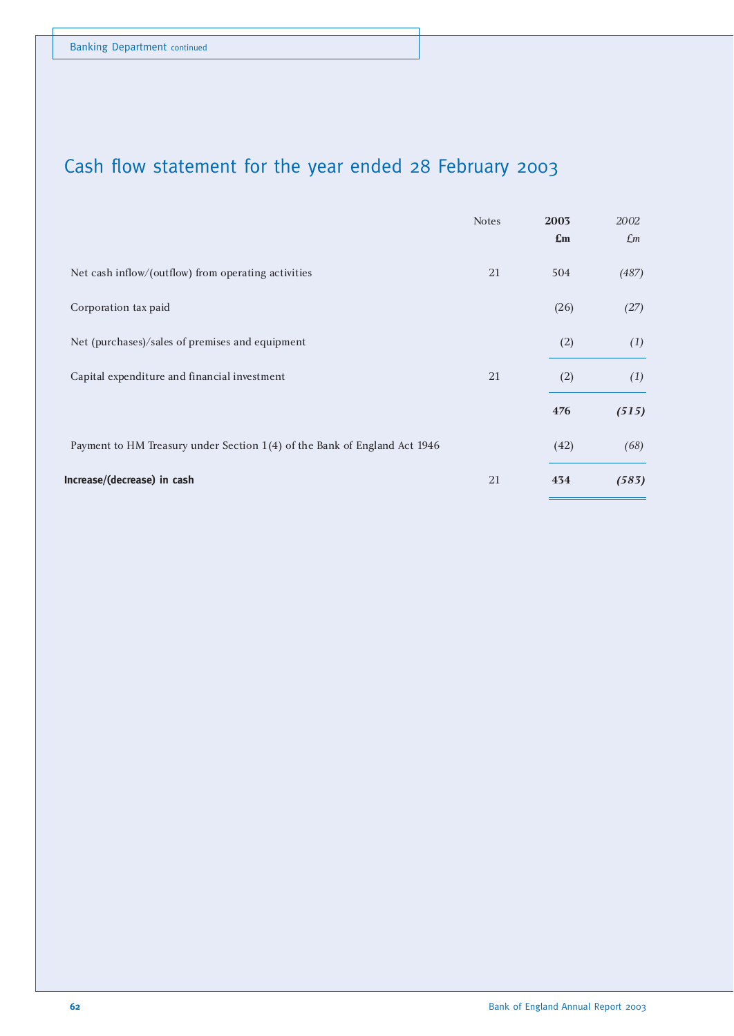# Cash flow statement for the year ended 28 February 2003

|                                                                           | <b>Notes</b> | 2003<br>$\mathbf{E}$ m | 2002<br>$\pounds$ m |
|---------------------------------------------------------------------------|--------------|------------------------|---------------------|
| Net cash inflow/(outflow) from operating activities                       | 21           | 504                    | (487)               |
| Corporation tax paid                                                      |              | (26)                   | (27)                |
| Net (purchases)/sales of premises and equipment                           |              | (2)                    | (1)                 |
| Capital expenditure and financial investment                              | 21           | (2)                    | (1)                 |
|                                                                           |              | 476                    | (515)               |
| Payment to HM Treasury under Section 1(4) of the Bank of England Act 1946 |              | (42)                   | (68)                |
| Increase/(decrease) in cash                                               | 21           | 434                    | (583)               |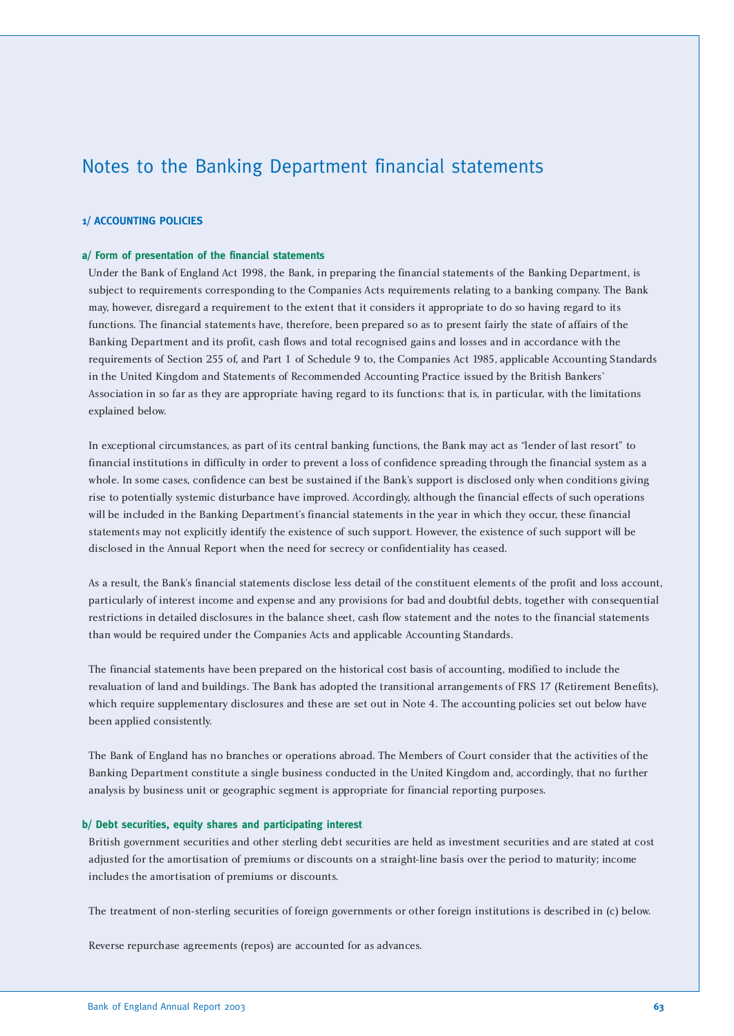## Notes to the Banking Department financial statements

#### **1/ ACCOUNTING POLICIES**

#### **a/ Form of presentation of the financial statements**

Under the Bank of England Act 1998, the Bank, in preparing the financial statements of the Banking Department, is subject to requirements corresponding to the Companies Acts requirements relating to a banking company. The Bank may, however, disregard a requirement to the extent that it considers it appropriate to do so having regard to its functions. The financial statements have, therefore, been prepared so as to present fairly the state of affairs of the Banking Department and its profit, cash flows and total recognised gains and losses and in accordance with the requirements of Section 255 of, and Part 1 of Schedule 9 to, the Companies Act 1985, applicable Accounting Standards in the United Kingdom and Statements of Recommended Accounting Practice issued by the British Bankers' Association in so far as they are appropriate having regard to its functions: that is, in particular, with the limitations explained below.

In exceptional circumstances, as part of its central banking functions, the Bank may act as "lender of last resort" to financial institutions in difficulty in order to prevent a loss of confidence spreading through the financial system as a whole. In some cases, confidence can best be sustained if the Bank's support is disclosed only when conditions giving rise to potentially systemic disturbance have improved. Accordingly, although the financial effects of such operations will be included in the Banking Department's financial statements in the year in which they occur, these financial statements may not explicitly identify the existence of such support. However, the existence of such support will be disclosed in the Annual Report when the need for secrecy or confidentiality has ceased.

As a result, the Bank's financial statements disclose less detail of the constituent elements of the profit and loss account, particularly of interest income and expense and any provisions for bad and doubtful debts, together with consequential restrictions in detailed disclosures in the balance sheet, cash flow statement and the notes to the financial statements than would be required under the Companies Acts and applicable Accounting Standards.

The financial statements have been prepared on the historical cost basis of accounting, modified to include the revaluation of land and buildings. The Bank has adopted the transitional arrangements of FRS 17 (Retirement Benefits), which require supplementary disclosures and these are set out in Note 4. The accounting policies set out below have been applied consistently.

The Bank of England has no branches or operations abroad. The Members of Court consider that the activities of the Banking Department constitute a single business conducted in the United Kingdom and, accordingly, that no further analysis by business unit or geographic segment is appropriate for financial reporting purposes.

#### **b/ Debt securities, equity shares and participating interest**

British government securities and other sterling debt securities are held as investment securities and are stated at cost adjusted for the amortisation of premiums or discounts on a straight-line basis over the period to maturity; income includes the amortisation of premiums or discounts.

The treatment of non-sterling securities of foreign governments or other foreign institutions is described in (c) below.

Reverse repurchase agreements (repos) are accounted for as advances.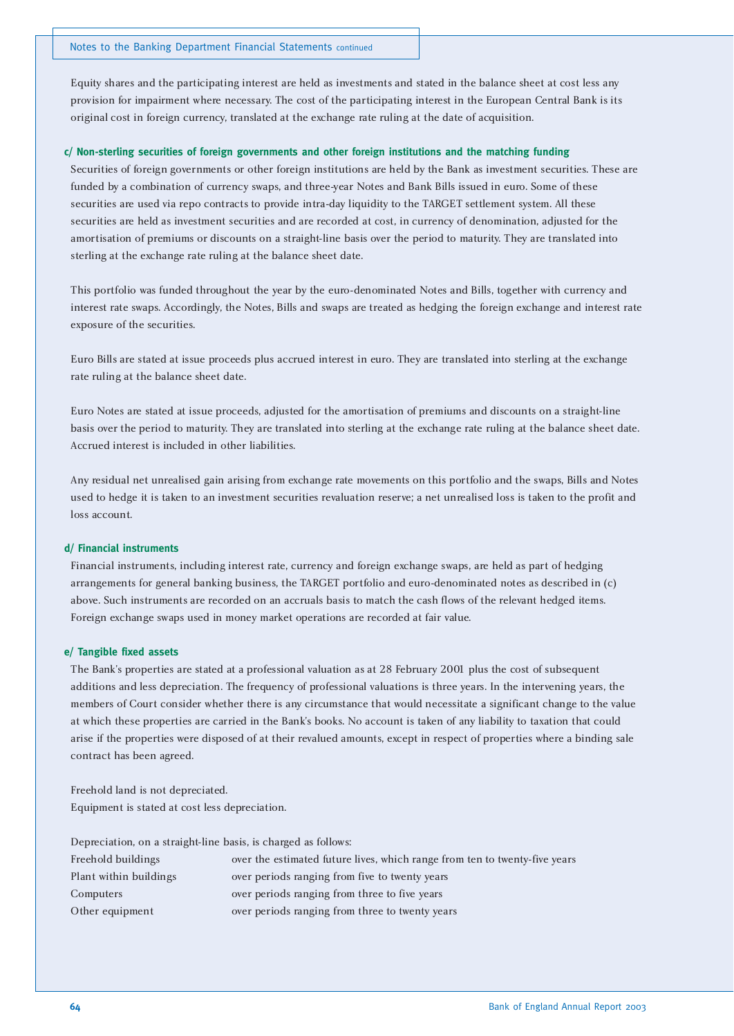Equity shares and the participating interest are held as investments and stated in the balance sheet at cost less any provision for impairment where necessary. The cost of the participating interest in the European Central Bank is its original cost in foreign currency, translated at the exchange rate ruling at the date of acquisition.

#### **c/ Non-sterling securities of foreign governments and other foreign institutions and the matching funding**

Securities of foreign governments or other foreign institutions are held by the Bank as investment securities. These are funded by a combination of currency swaps, and three-year Notes and Bank Bills issued in euro. Some of these securities are used via repo contracts to provide intra-day liquidity to the TARGET settlement system. All these securities are held as investment securities and are recorded at cost, in currency of denomination, adjusted for the amortisation of premiums or discounts on a straight-line basis over the period to maturity. They are translated into sterling at the exchange rate ruling at the balance sheet date.

This portfolio was funded throughout the year by the euro-denominated Notes and Bills, together with currency and interest rate swaps. Accordingly, the Notes, Bills and swaps are treated as hedging the foreign exchange and interest rate exposure of the securities.

Euro Bills are stated at issue proceeds plus accrued interest in euro. They are translated into sterling at the exchange rate ruling at the balance sheet date.

Euro Notes are stated at issue proceeds, adjusted for the amortisation of premiums and discounts on a straight-line basis over the period to maturity. They are translated into sterling at the exchange rate ruling at the balance sheet date. Accrued interest is included in other liabilities.

Any residual net unrealised gain arising from exchange rate movements on this portfolio and the swaps, Bills and Notes used to hedge it is taken to an investment securities revaluation reserve; a net unrealised loss is taken to the profit and loss account.

#### **d/ Financial instruments**

Financial instruments, including interest rate, currency and foreign exchange swaps, are held as part of hedging arrangements for general banking business, the TARGET portfolio and euro-denominated notes as described in (c) above. Such instruments are recorded on an accruals basis to match the cash flows of the relevant hedged items. Foreign exchange swaps used in money market operations are recorded at fair value.

#### **e/ Tangible fixed assets**

The Bank's properties are stated at a professional valuation as at 28 February 2001 plus the cost of subsequent additions and less depreciation. The frequency of professional valuations is three years. In the intervening years, the members of Court consider whether there is any circumstance that would necessitate a significant change to the value at which these properties are carried in the Bank's books. No account is taken of any liability to taxation that could arise if the properties were disposed of at their revalued amounts, except in respect of properties where a binding sale contract has been agreed.

Freehold land is not depreciated. Equipment is stated at cost less depreciation.

Depreciation, on a straight-line basis, is charged as follows:

| Freehold buildings     | over the estimated future lives, which range from ten to twenty-five years |
|------------------------|----------------------------------------------------------------------------|
| Plant within buildings | over periods ranging from five to twenty years                             |
| Computers              | over periods ranging from three to five years                              |
| Other equipment        | over periods ranging from three to twenty years                            |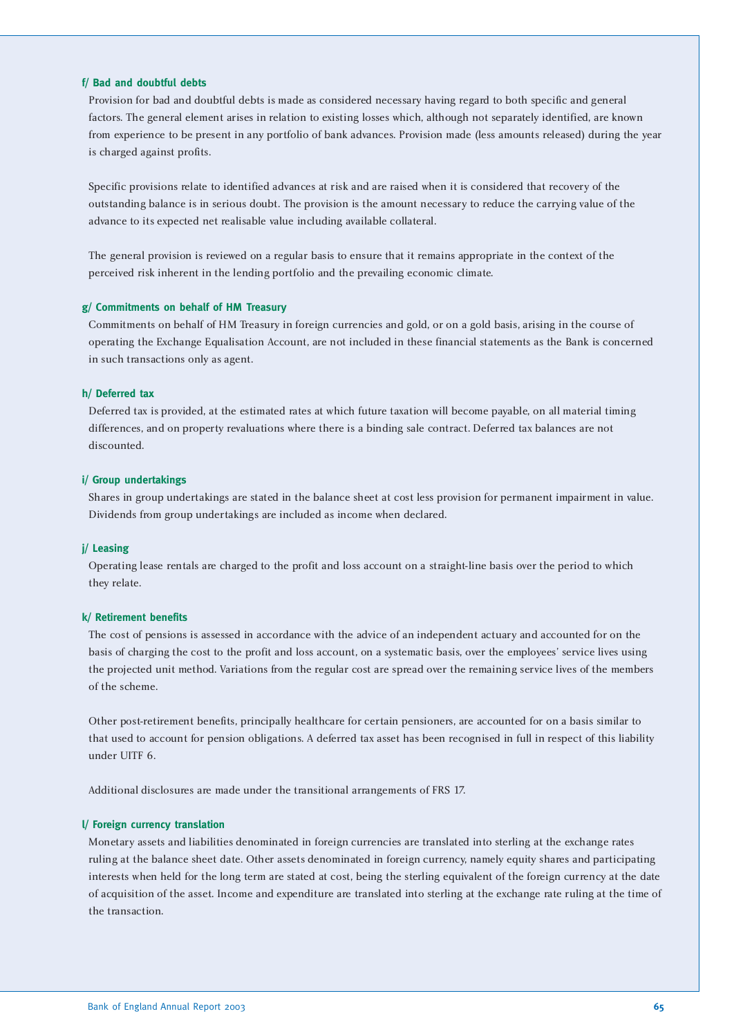#### **f/ Bad and doubtful debts**

Provision for bad and doubtful debts is made as considered necessary having regard to both specific and general factors. The general element arises in relation to existing losses which, although not separately identified, are known from experience to be present in any portfolio of bank advances. Provision made (less amounts released) during the year is charged against profits.

Specific provisions relate to identified advances at risk and are raised when it is considered that recovery of the outstanding balance is in serious doubt. The provision is the amount necessary to reduce the carrying value of the advance to its expected net realisable value including available collateral.

The general provision is reviewed on a regular basis to ensure that it remains appropriate in the context of the perceived risk inherent in the lending portfolio and the prevailing economic climate.

#### **g/ Commitments on behalf of HM Treasury**

Commitments on behalf of HM Treasury in foreign currencies and gold, or on a gold basis, arising in the course of operating the Exchange Equalisation Account, are not included in these financial statements as the Bank is concerned in such transactions only as agent.

#### **h/ Deferred tax**

Deferred tax is provided, at the estimated rates at which future taxation will become payable, on all material timing differences, and on property revaluations where there is a binding sale contract. Deferred tax balances are not discounted.

#### **i/ Group undertakings**

Shares in group undertakings are stated in the balance sheet at cost less provision for permanent impairment in value. Dividends from group undertakings are included as income when declared.

#### **j/ Leasing**

Operating lease rentals are charged to the profit and loss account on a straight-line basis over the period to which they relate.

#### **k/ Retirement benefits**

The cost of pensions is assessed in accordance with the advice of an independent actuary and accounted for on the basis of charging the cost to the profit and loss account, on a systematic basis, over the employees' service lives using the projected unit method. Variations from the regular cost are spread over the remaining service lives of the members of the scheme.

Other post-retirement benefits, principally healthcare for certain pensioners, are accounted for on a basis similar to that used to account for pension obligations. A deferred tax asset has been recognised in full in respect of this liability under UITF 6.

Additional disclosures are made under the transitional arrangements of FRS 17.

#### **l/ Foreign currency translation**

Monetary assets and liabilities denominated in foreign currencies are translated into sterling at the exchange rates ruling at the balance sheet date. Other assets denominated in foreign currency, namely equity shares and participating interests when held for the long term are stated at cost, being the sterling equivalent of the foreign currency at the date of acquisition of the asset. Income and expenditure are translated into sterling at the exchange rate ruling at the time of the transaction.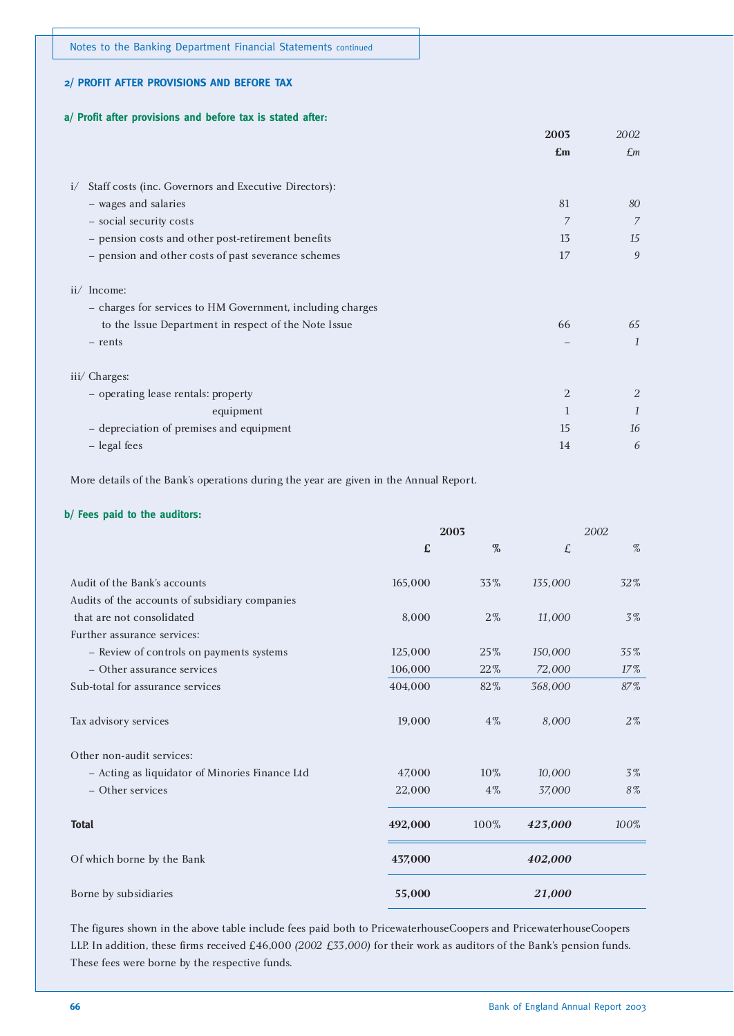#### **2/ PROFIT AFTER PROVISIONS AND BEFORE TAX**

#### **a/ Profit after provisions and before tax is stated after:**

|                                                             | 2003           | 2002          |
|-------------------------------------------------------------|----------------|---------------|
|                                                             | $\mathbf{E}$ m | $\pounds$ m   |
|                                                             |                |               |
| Staff costs (inc. Governors and Executive Directors):<br>i/ |                |               |
| - wages and salaries                                        | 81             | 80            |
| - social security costs                                     | 7              | 7             |
| - pension costs and other post-retirement benefits          | 13             | 15            |
| - pension and other costs of past severance schemes         | 17             | 9             |
|                                                             |                |               |
| ii/ Income:                                                 |                |               |
| - charges for services to HM Government, including charges  |                |               |
| to the Issue Department in respect of the Note Issue        | 66             | 65            |
| - rents                                                     |                | $\mathcal{I}$ |
|                                                             |                |               |
| iii/ Charges:                                               |                |               |
| - operating lease rentals: property                         | 2              | 2             |
| equipment                                                   | 1              | $\mathcal{I}$ |
| - depreciation of premises and equipment                    | 15             | 16            |
| - legal fees                                                | 14             | 6             |
|                                                             |                |               |

More details of the Bank's operations during the year are given in the Annual Report.

#### **b/ Fees paid to the auditors:**

|                                                | 2003    |       | 2002    |        |
|------------------------------------------------|---------|-------|---------|--------|
|                                                | £       | $\%$  | £       | %      |
| Audit of the Bank's accounts                   | 165,000 | 33%   | 135,000 | 32%    |
| Audits of the accounts of subsidiary companies |         |       |         |        |
| that are not consolidated                      | 8,000   | $2\%$ | 11,000  | 3%     |
| Further assurance services:                    |         |       |         |        |
| - Review of controls on payments systems       | 125,000 | 25%   | 150,000 | 35%    |
| - Other assurance services                     | 106,000 | 22%   | 72,000  | $17\%$ |
| Sub-total for assurance services               | 404,000 | 82%   | 368,000 | 87%    |
| Tax advisory services                          | 19,000  | $4\%$ | 8,000   | $2\%$  |
| Other non-audit services:                      |         |       |         |        |
| - Acting as liquidator of Minories Finance Ltd | 47,000  | 10%   | 10,000  | 3%     |
| - Other services                               | 22,000  | $4\%$ | 37,000  | 8%     |
| <b>Total</b>                                   | 492,000 | 100%  | 423,000 | 100%   |
| Of which borne by the Bank                     | 437,000 |       | 402,000 |        |
| Borne by subsidiaries                          | 55,000  |       | 21,000  |        |

The figures shown in the above table include fees paid both to PricewaterhouseCoopers and PricewaterhouseCoopers LLP. In addition, these firms received £46,000 *(2002 £33,000)* for their work as auditors of the Bank's pension funds. These fees were borne by the respective funds.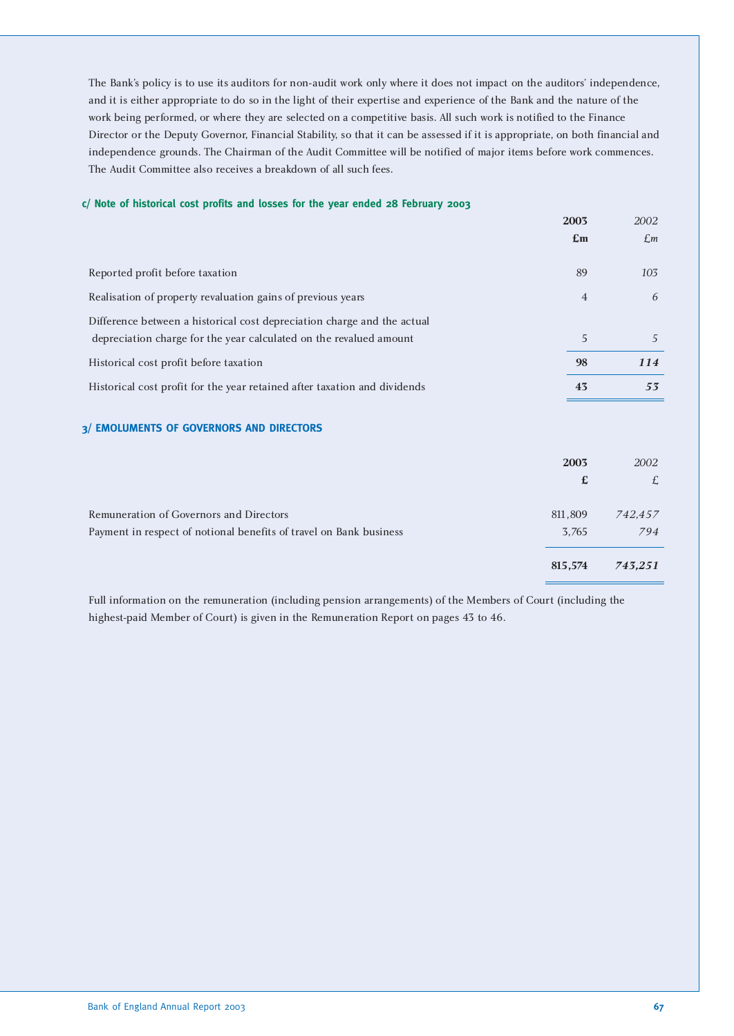The Bank's policy is to use its auditors for non-audit work only where it does not impact on the auditors' independence, and it is either appropriate to do so in the light of their expertise and experience of the Bank and the nature of the work being performed, or where they are selected on a competitive basis. All such work is notified to the Finance Director or the Deputy Governor, Financial Stability, so that it can be assessed if it is appropriate, on both financial and independence grounds. The Chairman of the Audit Committee will be notified of major items before work commences. The Audit Committee also receives a breakdown of all such fees.

#### **c/ Note of historical cost profits and losses for the year ended 28 February 2003**

| 2003                      | 2002           |
|---------------------------|----------------|
| $\mathbf{f}_{\mathbf{m}}$ | $\mathcal{L}m$ |
|                           |                |
| 89                        | 103            |
| $\overline{4}$            | 6              |
|                           |                |
| 5                         | $\overline{A}$ |
| 98                        | <b>114</b>     |
| 43                        | 53             |
|                           |                |

#### **3/ EMOLUMENTS OF GOVERNORS AND DIRECTORS**

| 2002    |
|---------|
| £       |
|         |
| 742,457 |
| 794     |
| 743.251 |
|         |

Full information on the remuneration (including pension arrangements) of the Members of Court (including the highest-paid Member of Court) is given in the Remuneration Report on pages 43 to 46.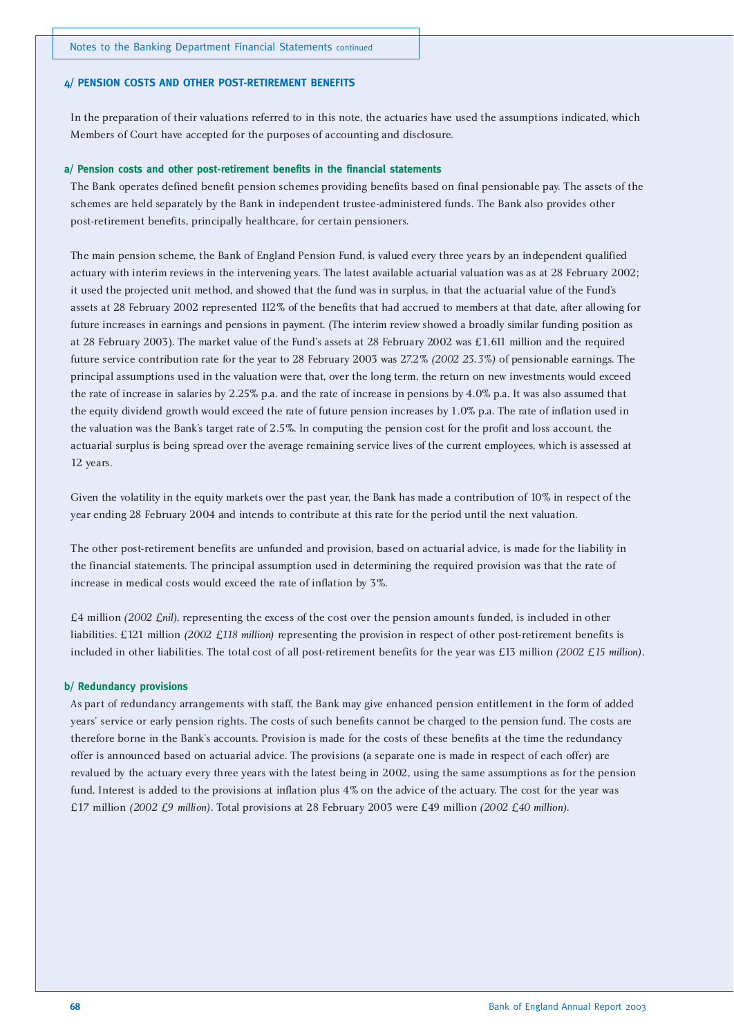#### **4/ PENSION COSTS AND OTHER POST-RETIREMENT BENEFITS**

In the preparation of their valuations referred to in this note, the actuaries have used the assumptions indicated, which Members of Court have accepted for the purposes of accounting and disclosure.

#### **a/ Pension costs and other post-retirement benefits in the financial statements**

The Bank operates defined benefit pension schemes providing benefits based on final pensionable pay. The assets of the schemes are held separately by the Bank in independent trustee-administered funds. The Bank also provides other post-retirement benefits, principally healthcare, for certain pensioners.

The main pension scheme, the Bank of England Pension Fund, is valued every three years by an independent qualified actuary with interim reviews in the intervening years. The latest available actuarial valuation was as at 28 February 2002; it used the projected unit method, and showed that the fund was in surplus, in that the actuarial value of the Fund's assets at 28 February 2002 represented 112% of the benefits that had accrued to members at that date, after allowing for future increases in earnings and pensions in payment. (The interim review showed a broadly similar funding position as at 28 February 2003). The market value of the Fund's assets at 28 February 2002 was £1,611 million and the required future service contribution rate for the year to 28 February 2003 was 27.2% *(2002 23.3%)* of pensionable earnings. The principal assumptions used in the valuation were that, over the long term, the return on new investments would exceed the rate of increase in salaries by 2.25% p.a. and the rate of increase in pensions by 4.0% p.a. It was also assumed that the equity dividend growth would exceed the rate of future pension increases by 1.0% p.a. The rate of inflation used in the valuation was the Bank's target rate of 2.5%. In computing the pension cost for the profit and loss account, the actuarial surplus is being spread over the average remaining service lives of the current employees, which is assessed at 12 years.

Given the volatility in the equity markets over the past year, the Bank has made a contribution of 10% in respect of the year ending 28 February 2004 and intends to contribute at this rate for the period until the next valuation.

The other post-retirement benefits are unfunded and provision, based on actuarial advice, is made for the liability in the financial statements. The principal assumption used in determining the required provision was that the rate of increase in medical costs would exceed the rate of inflation by 3%.

£4 million *(2002 £nil)*, representing the excess of the cost over the pension amounts funded, is included in other liabilities. £121 million *(2002 £118 million)* representing the provision in respect of other post-retirement benefits is included in other liabilities. The total cost of all post-retirement benefits for the year was £13 million *(2002 £15 million)*.

#### **b/ Redundancy provisions**

As part of redundancy arrangements with staff, the Bank may give enhanced pension entitlement in the form of added years' service or early pension rights. The costs of such benefits cannot be charged to the pension fund. The costs are therefore borne in the Bank's accounts. Provision is made for the costs of these benefits at the time the redundancy offer is announced based on actuarial advice. The provisions (a separate one is made in respect of each offer) are revalued by the actuary every three years with the latest being in 2002, using the same assumptions as for the pension fund. Interest is added to the provisions at inflation plus 4% on the advice of the actuary. The cost for the year was £17 million *(2002 £9 million)*. Total provisions at 28 February 2003 were £49 million *(2002 £40 million)*.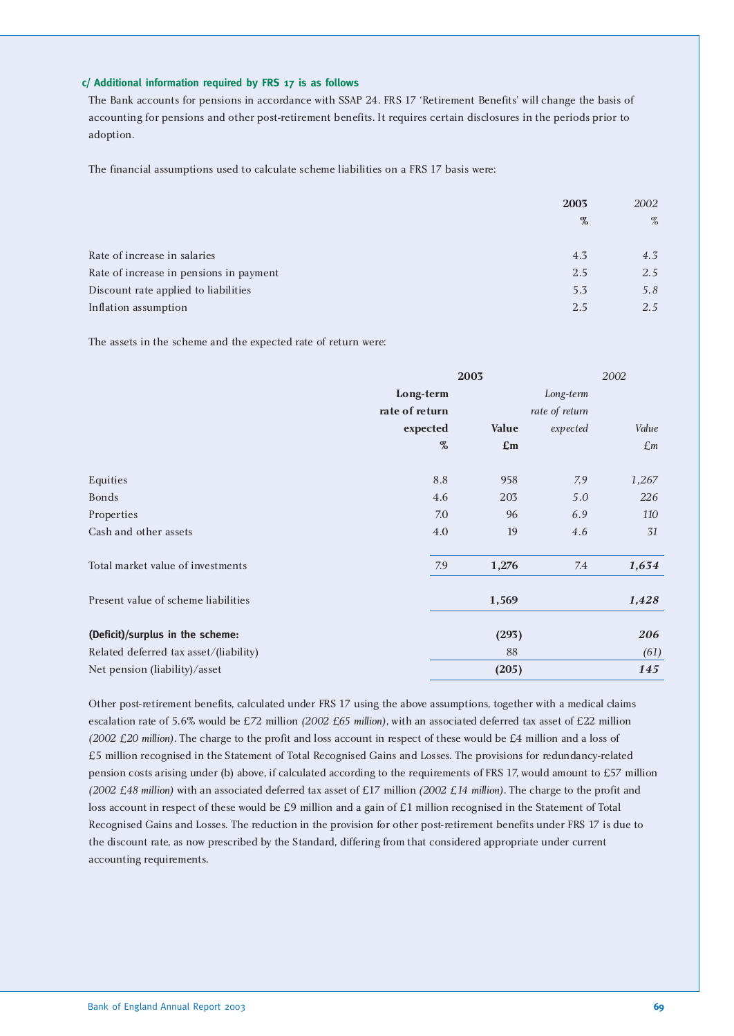#### **c/ Additional information required by FRS 17 is as follows**

The Bank accounts for pensions in accordance with SSAP 24. FRS 17 'Retirement Benefits' will change the basis of accounting for pensions and other post-retirement benefits. It requires certain disclosures in the periods prior to adoption.

The financial assumptions used to calculate scheme liabilities on a FRS 17 basis were:

|                                         | 2003 | 2002 |
|-----------------------------------------|------|------|
|                                         | $\%$ | $\%$ |
|                                         |      |      |
| Rate of increase in salaries            | 4.3  | 4.3  |
| Rate of increase in pensions in payment | 2.5  | 2.5  |
| Discount rate applied to liabilities    | 5.3  | 5.8  |
| Inflation assumption                    | 2.5  | 2.5  |

The assets in the scheme and the expected rate of return were:

|                                        | 2003           |                | 2002           |                 |
|----------------------------------------|----------------|----------------|----------------|-----------------|
|                                        | Long-term      |                | Long-term      |                 |
|                                        | rate of return |                | rate of return |                 |
|                                        | expected       | Value          | expected       | Value           |
|                                        | $\%$           | $\mathbf{E}$ m |                | $\mathcal{L}$ m |
|                                        |                |                |                |                 |
| Equities                               | 8.8            | 958            | 7.9            | 1,267           |
| <b>Bonds</b>                           | 4.6            | 203            | 5.0            | 226             |
| Properties                             | 7.0            | 96             | 6.9            | 110             |
| Cash and other assets                  | 4.0            | 19             | 4.6            | 31              |
| Total market value of investments      | 7.9            | 1,276          | 7.4            | 1,634           |
| Present value of scheme liabilities    |                | 1,569          |                | 1,428           |
| (Deficit)/surplus in the scheme:       |                | (293)          |                | 206             |
| Related deferred tax asset/(liability) |                | 88             |                | (61)            |
| Net pension (liability)/asset          |                | (205)          |                | 145             |

Other post-retirement benefits, calculated under FRS 17 using the above assumptions, together with a medical claims escalation rate of 5.6% would be £72 million *(2002 £65 million)*, with an associated deferred tax asset of £22 million *(2002 £20 million)*. The charge to the profit and loss account in respect of these would be £4 million and a loss of £5 million recognised in the Statement of Total Recognised Gains and Losses. The provisions for redundancy-related pension costs arising under (b) above, if calculated according to the requirements of FRS 17, would amount to £57 million *(2002 £48 million)* with an associated deferred tax asset of £17 million *(2002 £14 million)*. The charge to the profit and loss account in respect of these would be £9 million and a gain of £1 million recognised in the Statement of Total Recognised Gains and Losses. The reduction in the provision for other post-retirement benefits under FRS 17 is due to the discount rate, as now prescribed by the Standard, differing from that considered appropriate under current accounting requirements.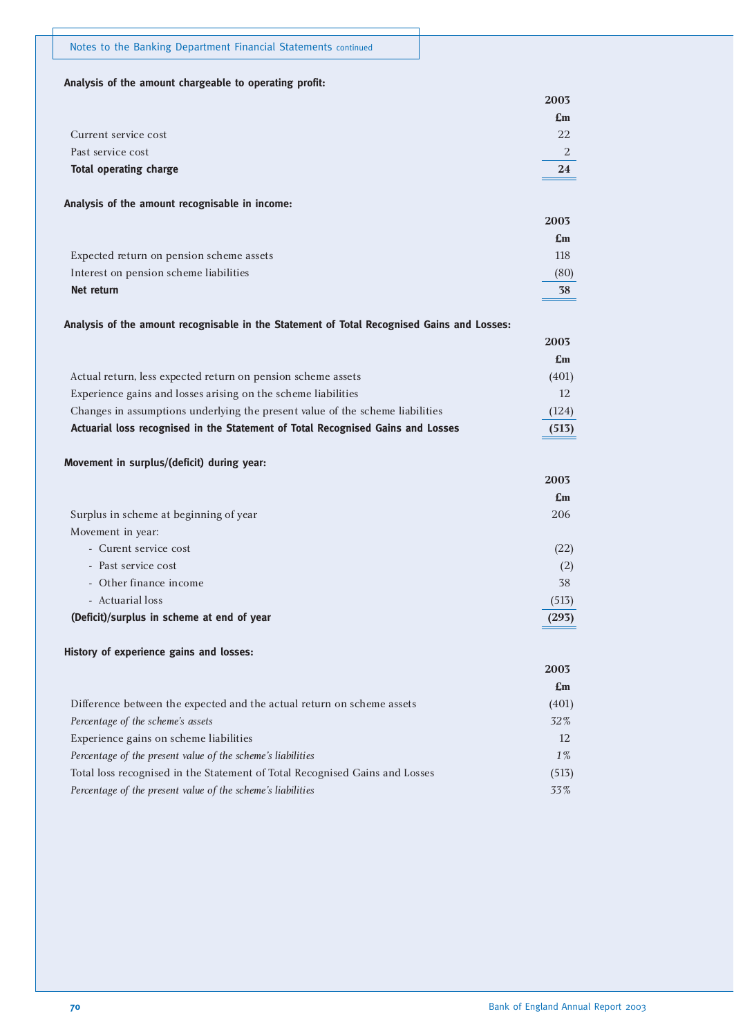#### **Analysis of the amount chargeable to operating profit:**

|                               | 2003                      |
|-------------------------------|---------------------------|
|                               | $\mathbf{f}_{\mathbf{m}}$ |
| Current service cost          | 22                        |
| Past service cost             | $\mathcal{L}$             |
| <b>Total operating charge</b> | 24                        |
|                               |                           |

#### **Analysis of the amount recognisable in income:**

|                                          | 2003           |
|------------------------------------------|----------------|
|                                          | $\mathbf{E}$ m |
| Expected return on pension scheme assets | 118            |
| Interest on pension scheme liabilities   | (80)           |
| Net return                               | 38             |

#### **Analysis of the amount recognisable in the Statement of Total Recognised Gains and Losses:**

|                                                                                 | 2003  |
|---------------------------------------------------------------------------------|-------|
|                                                                                 | Em    |
| Actual return, less expected return on pension scheme assets                    | (401) |
| Experience gains and losses arising on the scheme liabilities                   | 12.   |
| Changes in assumptions underlying the present value of the scheme liabilities   | (124) |
| Actuarial loss recognised in the Statement of Total Recognised Gains and Losses | (513) |

#### **Movement in surplus/(deficit) during year:**

|                                            | 200J           |
|--------------------------------------------|----------------|
|                                            | $\mathbf{E}$ m |
| Surplus in scheme at beginning of year     | 206            |
| Movement in year:                          |                |
| - Curent service cost                      | (22)           |
| - Past service cost                        | (2)            |
| - Other finance income                     | 38             |
| - Actuarial loss                           | (513)          |
| (Deficit)/surplus in scheme at end of year | (293)          |
|                                            |                |

#### **History of experience gains and losses:**

|                                                                             | 2003                      |
|-----------------------------------------------------------------------------|---------------------------|
|                                                                             | $\mathbf{f}_{\mathbf{m}}$ |
| Difference between the expected and the actual return on scheme assets      | (401)                     |
| Percentage of the scheme's assets                                           | 32%                       |
| Experience gains on scheme liabilities                                      | 12                        |
| Percentage of the present value of the scheme's liabilities                 | $1\%$                     |
| Total loss recognised in the Statement of Total Recognised Gains and Losses | (513)                     |
| Percentage of the present value of the scheme's liabilities                 | 33%                       |

**2003**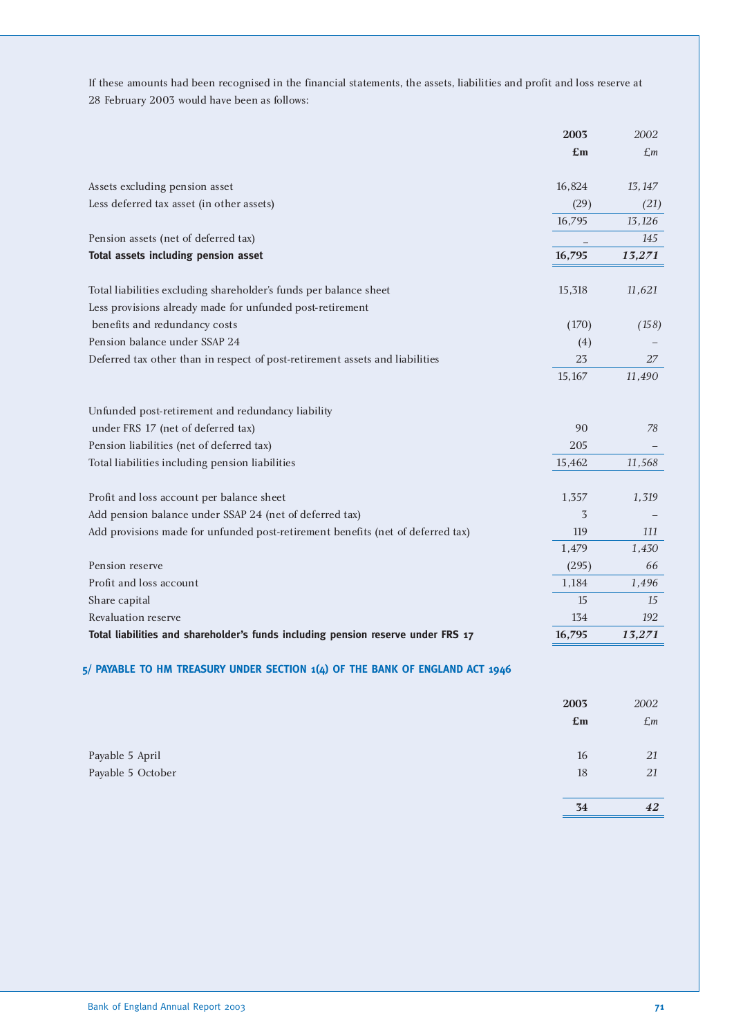If these amounts had been recognised in the financial statements, the assets, liabilities and profit and loss reserve at 28 February 2003 would have been as follows:

|                                                                                  | 2003   | 2002   |
|----------------------------------------------------------------------------------|--------|--------|
|                                                                                  | £m     | £m     |
| Assets excluding pension asset                                                   | 16,824 | 13,147 |
| Less deferred tax asset (in other assets)                                        | (29)   | (21)   |
|                                                                                  | 16,795 | 13,126 |
| Pension assets (net of deferred tax)                                             |        | 145    |
| Total assets including pension asset                                             | 16,795 | 13,271 |
| Total liabilities excluding shareholder's funds per balance sheet                | 15,318 | 11,621 |
| Less provisions already made for unfunded post-retirement                        |        |        |
| benefits and redundancy costs                                                    | (170)  | (158)  |
| Pension balance under SSAP 24                                                    | (4)    |        |
| Deferred tax other than in respect of post-retirement assets and liabilities     | 23     | 27     |
|                                                                                  | 15,167 | 11,490 |
| Unfunded post-retirement and redundancy liability                                |        |        |
| under FRS 17 (net of deferred tax)                                               | 90     | 78     |
| Pension liabilities (net of deferred tax)                                        | 205    |        |
| Total liabilities including pension liabilities                                  | 15,462 | 11,568 |
| Profit and loss account per balance sheet                                        | 1,357  | 1,319  |
| Add pension balance under SSAP 24 (net of deferred tax)                          | 3      |        |
| Add provisions made for unfunded post-retirement benefits (net of deferred tax)  | 119    | 111    |
|                                                                                  | 1,479  | 1,430  |
| Pension reserve                                                                  | (295)  | 66     |
| Profit and loss account                                                          | 1,184  | 1,496  |
| Share capital                                                                    | 15     | 15     |
| Revaluation reserve                                                              | 134    | 192    |
| Total liabilities and shareholder's funds including pension reserve under FRS 17 | 16,795 | 13,271 |

|                   | 2003<br>E <sub>m</sub> | 2002<br>$\pounds$ m |
|-------------------|------------------------|---------------------|
| Payable 5 April   | 16                     | 21                  |
| Payable 5 October | 18                     | 21                  |
|                   |                        |                     |
|                   | 34                     | 42                  |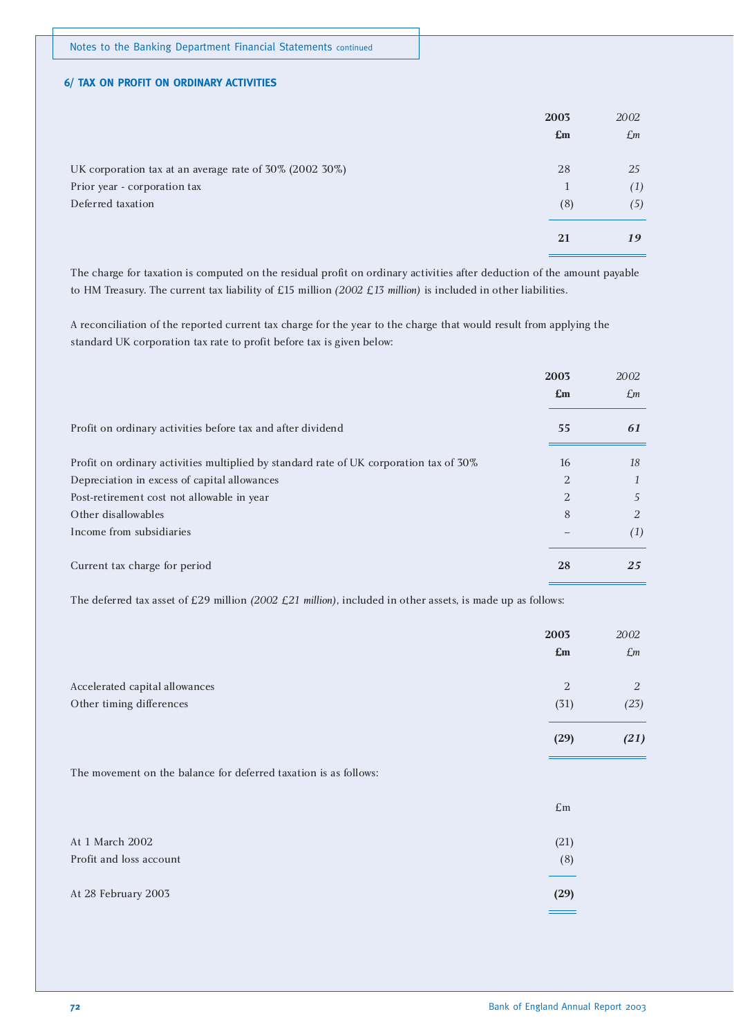#### **6/ TAX ON PROFIT ON ORDINARY ACTIVITIES**

|                                                         | 2003           | 2002            |
|---------------------------------------------------------|----------------|-----------------|
|                                                         | $\mathbf{E}$ m | $\mathcal{L}$ m |
| UK corporation tax at an average rate of 30% (2002 30%) | 28             | 25              |
| Prior year - corporation tax                            | 1              | (1)             |
| Deferred taxation                                       | (8)            | (5)             |
|                                                         | 21             | 19              |

The charge for taxation is computed on the residual profit on ordinary activities after deduction of the amount payable to HM Treasury. The current tax liability of £15 million *(2002 £13 million)* is included in other liabilities.

A reconciliation of the reported current tax charge for the year to the charge that would result from applying the standard UK corporation tax rate to profit before tax is given below:

|                                                                                        | 2003                      | 2002 |
|----------------------------------------------------------------------------------------|---------------------------|------|
|                                                                                        | $\mathbf{f}_{\mathbf{m}}$ | £m   |
| Profit on ordinary activities before tax and after dividend                            | 55                        | 61   |
| Profit on ordinary activities multiplied by standard rate of UK corporation tax of 30% | 16                        | 18   |
| Depreciation in excess of capital allowances                                           | $\overline{2}$            |      |
| Post-retirement cost not allowable in year                                             | $\overline{2}$            | 5    |
| Other disallowables                                                                    | 8                         | 2    |
| Income from subsidiaries                                                               |                           | (1)  |
| Current tax charge for period                                                          | 28                        | 25   |

The deferred tax asset of £29 million *(2002 £21 million)*, included in other assets, is made up as follows:

|                                                                  | 2003<br>£m     | 2002<br>$\mathcal{L}$ m |
|------------------------------------------------------------------|----------------|-------------------------|
|                                                                  |                |                         |
| Accelerated capital allowances                                   | $\sqrt{2}$     | 2                       |
| Other timing differences                                         | (31)           | (23)                    |
|                                                                  | (29)           | (21)                    |
| The movement on the balance for deferred taxation is as follows: |                |                         |
|                                                                  | $\mathbf{E}$ m |                         |
| At 1 March 2002                                                  | (21)           |                         |
| Profit and loss account                                          | (8)            |                         |
| At 28 February 2003                                              | (29)           |                         |
|                                                                  |                |                         |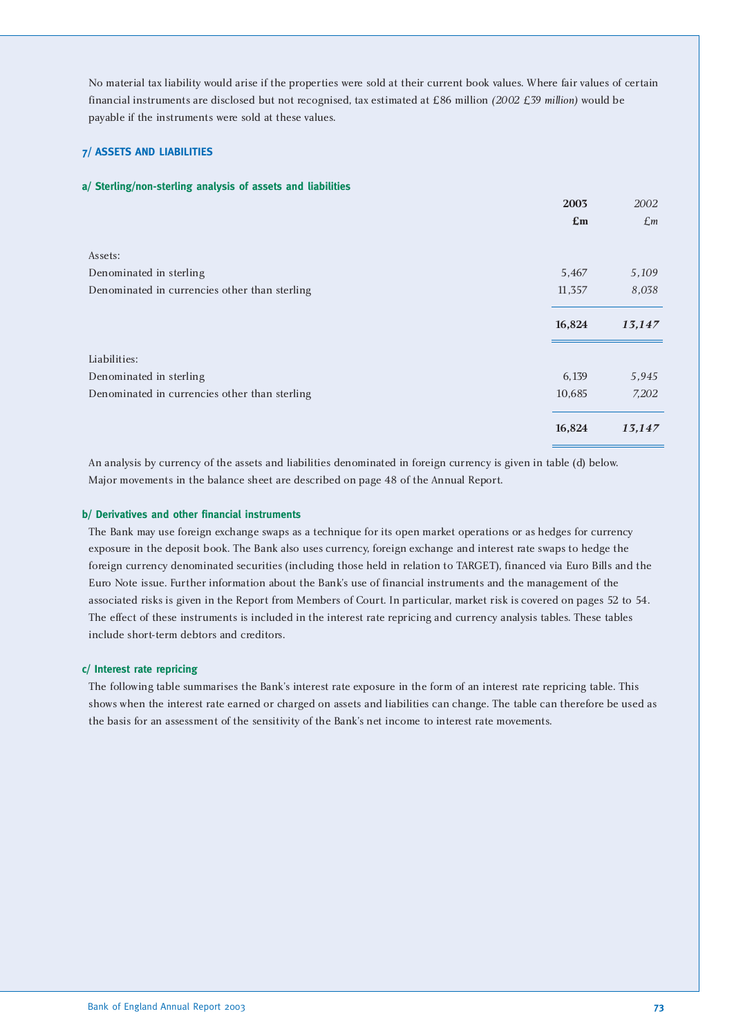No material tax liability would arise if the properties were sold at their current book values. Where fair values of certain financial instruments are disclosed but not recognised, tax estimated at £86 million *(2002 £39 million)* would be payable if the instruments were sold at these values.

#### **7/ ASSETS AND LIABILITIES**

#### **a/ Sterling/non-sterling analysis of assets and liabilities**

|                                               | 2003                      | 2002            |
|-----------------------------------------------|---------------------------|-----------------|
|                                               | $\mathbf{f}_{\mathbf{m}}$ | $\mathcal{L}$ m |
|                                               |                           |                 |
| Assets:                                       |                           |                 |
| Denominated in sterling                       | 5,467                     | 5,109           |
| Denominated in currencies other than sterling | 11,357                    | 8,038           |
|                                               |                           |                 |
|                                               | 16,824                    | 13,147          |
|                                               |                           |                 |
| Liabilities:                                  |                           |                 |
| Denominated in sterling                       | 6,139                     | 5,945           |
| Denominated in currencies other than sterling | 10,685                    | 7,202           |
|                                               | 16,824                    | 13,147          |

An analysis by currency of the assets and liabilities denominated in foreign currency is given in table (d) below. Major movements in the balance sheet are described on page 48 of the Annual Report.

#### **b/ Derivatives and other financial instruments**

The Bank may use foreign exchange swaps as a technique for its open market operations or as hedges for currency exposure in the deposit book. The Bank also uses currency, foreign exchange and interest rate swaps to hedge the foreign currency denominated securities (including those held in relation to TARGET), financed via Euro Bills and the Euro Note issue. Further information about the Bank's use of financial instruments and the management of the associated risks is given in the Report from Members of Court. In particular, market risk is covered on pages 52 to 54. The effect of these instruments is included in the interest rate repricing and currency analysis tables. These tables include short-term debtors and creditors.

#### **c/ Interest rate repricing**

The following table summarises the Bank's interest rate exposure in the form of an interest rate repricing table. This shows when the interest rate earned or charged on assets and liabilities can change. The table can therefore be used as the basis for an assessment of the sensitivity of the Bank's net income to interest rate movements.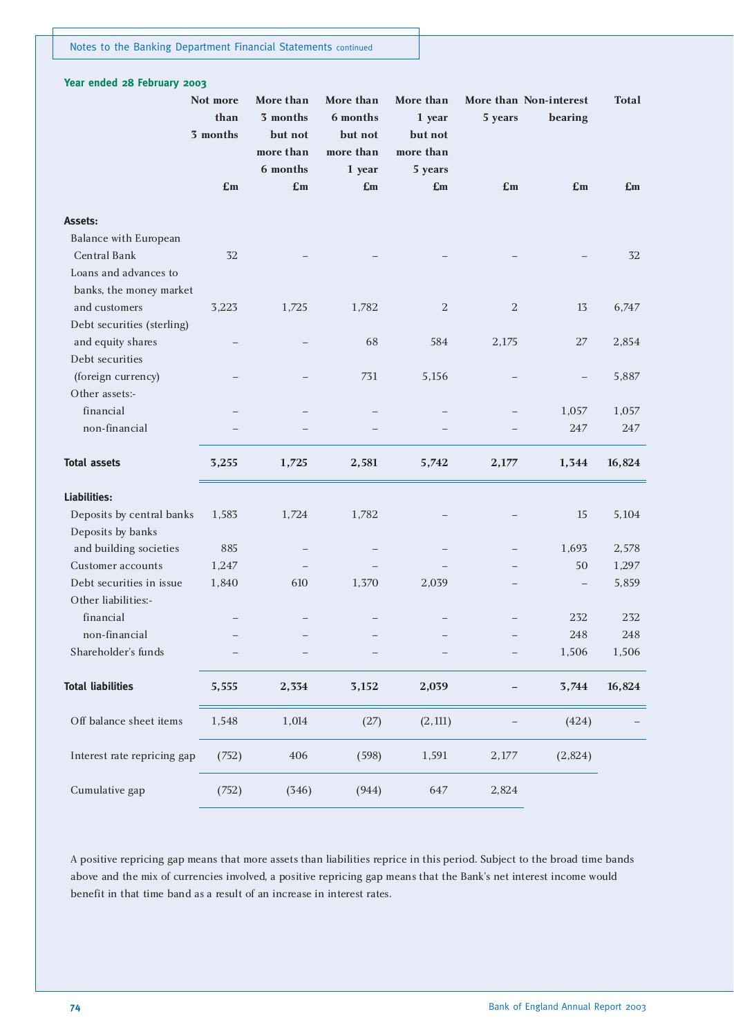| Year ended 28 February 2003  |                              |                                               |                                               |                                             |            |                                   |              |
|------------------------------|------------------------------|-----------------------------------------------|-----------------------------------------------|---------------------------------------------|------------|-----------------------------------|--------------|
|                              | Not more<br>than<br>3 months | More than<br>3 months<br>but not<br>more than | More than<br>6 months<br>but not<br>more than | More than<br>1 year<br>but not<br>more than | 5 years    | More than Non-interest<br>bearing | <b>Total</b> |
|                              | £m                           | 6 months<br>£m                                | 1 year<br>£m                                  | 5 years<br>£m                               | £m         | £m                                | £m           |
| Assets:                      |                              |                                               |                                               |                                             |            |                                   |              |
| <b>Balance with European</b> |                              |                                               |                                               |                                             |            |                                   |              |
| Central Bank                 | 32                           |                                               |                                               |                                             |            |                                   | 32           |
| Loans and advances to        |                              |                                               |                                               |                                             |            |                                   |              |
| banks, the money market      |                              |                                               |                                               |                                             |            |                                   |              |
| and customers                | 3,223                        | 1,725                                         | 1,782                                         | $\overline{2}$                              | $\sqrt{2}$ | 13                                | 6,747        |
| Debt securities (sterling)   |                              |                                               |                                               |                                             |            |                                   |              |
| and equity shares            |                              |                                               | 68                                            | 584                                         | 2,175      | 27                                | 2,854        |
| Debt securities              |                              |                                               |                                               |                                             |            |                                   |              |
| (foreign currency)           |                              |                                               | 731                                           | 5,156                                       |            |                                   | 5,887        |
| Other assets:-               |                              |                                               |                                               |                                             |            |                                   |              |
| financial                    |                              |                                               |                                               |                                             |            | 1,057                             | 1,057        |
| non-financial                |                              |                                               |                                               |                                             |            | 247                               | 247          |
| <b>Total assets</b>          | 3,255                        | 1,725                                         | 2,581                                         | 5,742                                       | 2,177      | 1,344                             | 16,824       |
| Liabilities:                 |                              |                                               |                                               |                                             |            |                                   |              |
| Deposits by central banks    | 1,583                        | 1,724                                         | 1,782                                         |                                             |            | 15                                | 5,104        |
| Deposits by banks            |                              |                                               |                                               |                                             |            |                                   |              |
| and building societies       | 885                          |                                               |                                               |                                             |            | 1,693                             | 2,578        |
| Customer accounts            | 1,247                        |                                               |                                               |                                             |            | 50                                | 1,297        |
| Debt securities in issue     | 1,840                        | 610                                           | 1,370                                         | 2,039                                       |            |                                   | 5,859        |
| Other liabilities:-          |                              |                                               |                                               |                                             |            |                                   |              |
| financial                    |                              |                                               |                                               |                                             |            | 232                               | 232          |
| non-financial                |                              |                                               |                                               |                                             |            | 248                               | 248          |
| Shareholder's funds          |                              |                                               |                                               |                                             |            | 1,506                             | 1,506        |
| <b>Total liabilities</b>     | 5,555                        | 2,334                                         | 3,152                                         | 2,039                                       |            | 3,744                             | 16,824       |
| Off balance sheet items      | 1,548                        | 1,014                                         | (27)                                          | (2, 111)                                    |            | (424)                             |              |
| Interest rate repricing gap  | (752)                        | 406                                           | (598)                                         | 1,591                                       | 2,177      | (2,824)                           |              |
| Cumulative gap               | (752)                        | (346)                                         | (944)                                         | 647                                         | 2,824      |                                   |              |

A positive repricing gap means that more assets than liabilities reprice in this period. Subject to the broad time bands above and the mix of currencies involved, a positive repricing gap means that the Bank's net interest income would benefit in that time band as a result of an increase in interest rates.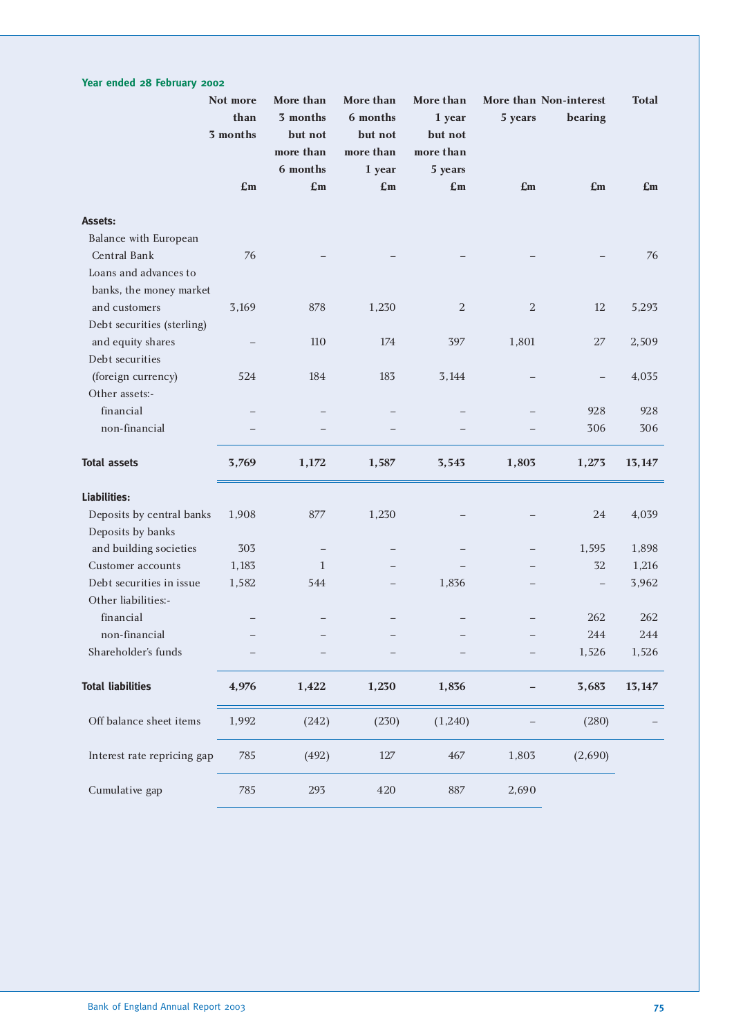### **Not more More than More than More than More than Non-interest Total than 3 months 6 months 1 year 5 years bearing 3 months but not but not but not more than more than more than 6 months 1 year 5 years £m £m £m £m £m £m £m Assets:** Balance with European Central Bank 76 – – – – – 76 Loans and advances to banks, the money market and customers 3,169 878 1,230 2 2 12 5,293 Debt securities (sterling) and equity shares  $\overline{a}$  = 110 174 397 1,801 27 2,509 Debt securities (foreign currency) 524 184 183 3,144 – – 4,035 Other assets: financial – – – – – 928 928 non-financial – – – – – 306 306 **Total assets 3,769 1,172 1,587 3,543 1,803 1,273 13,147 Liabilities:** Deposits by central banks 1,908 877 1,230 – – 24 4,039 Deposits by banks and building societies 303 – – – – – – 1,595 1,898 Customer accounts 1,183 1 – – – – 32 1,216 Debt securities in issue 1,582 544 – 1,836 – – 3,962 Other liabilities: financial – – – – – 262 262 non-financial – – – – – 244 244 Shareholder's funds – – – – – – – – – 1,526 1,526 **Total liabilities 4,976 1,422 1,230 1,836 – 3,683 13,147** Off balance sheet items 1,992 (242) (230) (1,240) – (280) Interest rate repricing gap 785 (492) 127 467 1,803 (2,690) Cumulative gap  $785$  293 420 887 2,690

**Year ended 28 February 2002**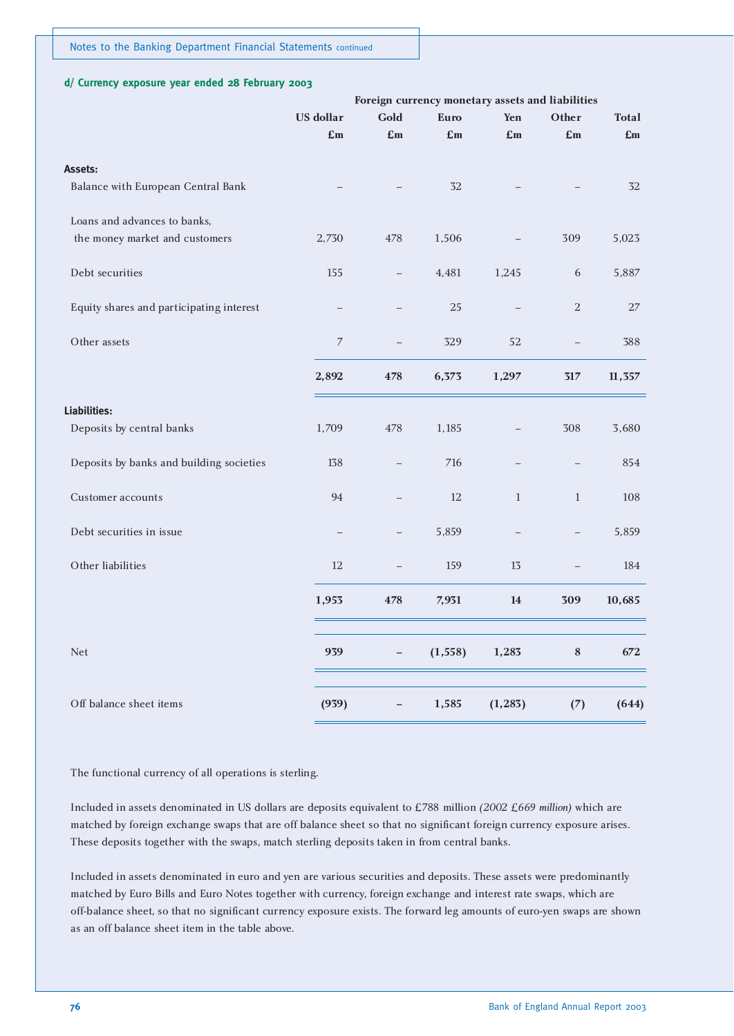#### **d/ Currency exposure year ended 28 February 2003**

|                                          |                  |                          | Foreign currency monetary assets and liabilities |              |                          |              |
|------------------------------------------|------------------|--------------------------|--------------------------------------------------|--------------|--------------------------|--------------|
|                                          | <b>US</b> dollar | Gold                     | <b>Euro</b>                                      | Yen          | Other                    | <b>Total</b> |
|                                          | £m               | £m                       | £m                                               | £m           | £m                       | £m           |
| Assets:                                  |                  |                          |                                                  |              |                          |              |
| Balance with European Central Bank       |                  |                          | 32                                               |              |                          | 32           |
| Loans and advances to banks,             |                  |                          |                                                  |              |                          |              |
| the money market and customers           | 2,730            | 478                      | 1,506                                            |              | 309                      | 5,023        |
| Debt securities                          | 155              | $\qquad \qquad -$        | 4,481                                            | 1,245        | 6                        | 5,887        |
| Equity shares and participating interest |                  | $\overline{\phantom{0}}$ | 25                                               |              | $\sqrt{2}$               | 27           |
| Other assets                             | $\overline{7}$   | $\overline{\phantom{0}}$ | 329                                              | 52           |                          | 388          |
|                                          | 2,892            | 478                      | 6,373                                            | 1,297        | $317\,$                  | 11,357       |
| Liabilities:                             |                  |                          |                                                  |              |                          |              |
| Deposits by central banks                | 1,709            | 478                      | 1,185                                            |              | 308                      | 3,680        |
| Deposits by banks and building societies | 138              | $\overline{\phantom{0}}$ | 716                                              | $\equiv$     | $\overline{\phantom{0}}$ | 854          |
| <b>Customer</b> accounts                 | 94               |                          | 12                                               | $\mathbf{1}$ | $\mathbf{1}$             | 108          |
| Debt securities in issue                 |                  |                          | 5,859                                            |              |                          | 5,859        |
| Other liabilities                        | 12               | $\overline{\phantom{0}}$ | 159                                              | 13           |                          | 184          |
|                                          | 1,953            | 478                      | 7,931                                            | 14           | 309                      | 10,685       |
| <b>Net</b>                               | 939              |                          | (1, 558)                                         | 1,283        | $\bf 8$                  | 672          |
| Off balance sheet items                  | (939)            |                          | 1,585                                            | (1, 283)     | (7)                      | (644)        |
|                                          |                  |                          |                                                  |              |                          |              |

The functional currency of all operations is sterling.

Included in assets denominated in US dollars are deposits equivalent to £788 million *(2002 £669 million)* which are matched by foreign exchange swaps that are off balance sheet so that no significant foreign currency exposure arises. These deposits together with the swaps, match sterling deposits taken in from central banks.

Included in assets denominated in euro and yen are various securities and deposits. These assets were predominantly matched by Euro Bills and Euro Notes together with currency, foreign exchange and interest rate swaps, which are off-balance sheet, so that no significant currency exposure exists. The forward leg amounts of euro-yen swaps are shown as an off balance sheet item in the table above.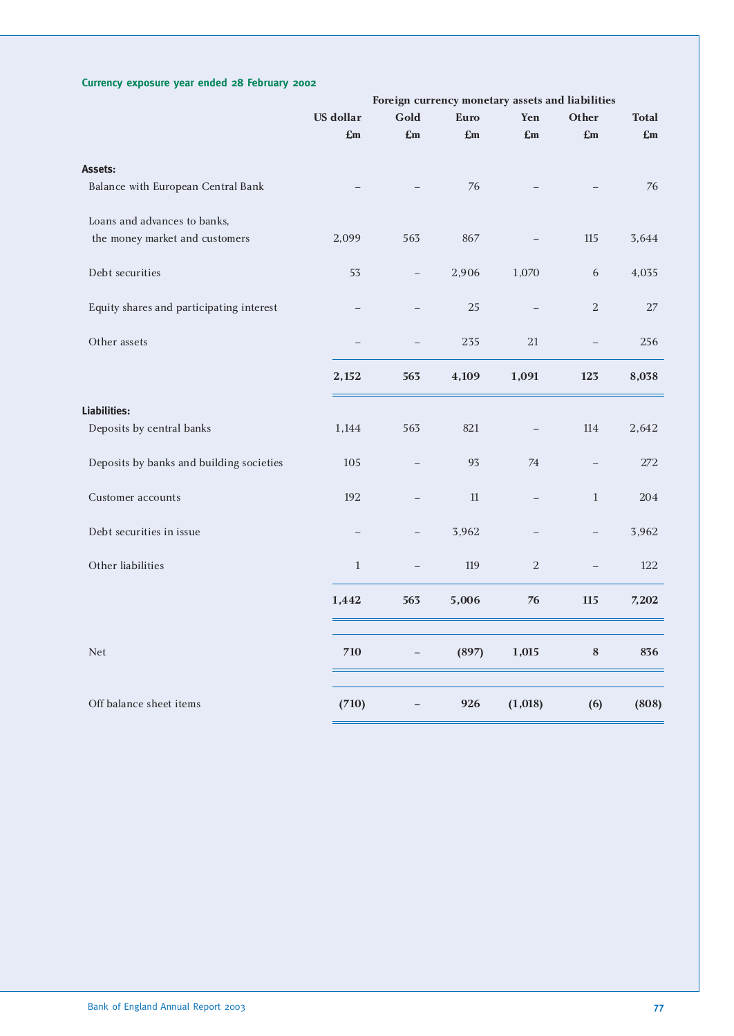#### **Currency exposure year ended 28 February 2002**

|                                          |                  |                   |             |                          | Foreign currency monetary assets and liabilities |              |
|------------------------------------------|------------------|-------------------|-------------|--------------------------|--------------------------------------------------|--------------|
|                                          | <b>US</b> dollar | Gold              | <b>Euro</b> | Yen                      | Other                                            | <b>Total</b> |
|                                          | £m               | £m                | £m          | £m                       | £m                                               | £m           |
| Assets:                                  |                  |                   |             |                          |                                                  |              |
| Balance with European Central Bank       |                  |                   | 76          |                          |                                                  | 76           |
| Loans and advances to banks,             |                  |                   |             |                          |                                                  |              |
| the money market and customers           | 2,099            | 563               | 867         |                          | 115                                              | 3,644        |
| Debt securities                          | 53               | $\qquad \qquad -$ | 2,906       | 1,070                    | 6                                                | 4,035        |
| Equity shares and participating interest |                  |                   | 25          |                          | 2                                                | 27           |
| Other assets                             |                  |                   | 235         | 21                       | $\overline{\phantom{0}}$                         | 256          |
|                                          | 2,152            | 563               | 4,109       | 1,091                    | 123                                              | 8,038        |
| Liabilities:                             |                  |                   |             |                          |                                                  |              |
| Deposits by central banks                | 1,144            | 563               | 821         |                          | 114                                              | 2,642        |
| Deposits by banks and building societies | 105              |                   | 93          | 74                       |                                                  | 272          |
| Customer accounts                        | 192              |                   | 11          | $\overline{\phantom{0}}$ | $\mathbf{1}$                                     | 204          |
| Debt securities in issue                 |                  |                   | 3,962       |                          | $\overline{\phantom{0}}$                         | 3,962        |
| Other liabilities                        | $\mathbf{1}$     |                   | 119         | $\,2$                    |                                                  | 122          |
|                                          | 1,442            | 563               | 5,006       | 76                       | 115                                              | 7,202        |
| <b>Net</b>                               | 710              |                   | (897)       | 1,015                    | $\bf 8$                                          | 836          |
| Off balance sheet items                  | (710)            |                   | 926         | (1,018)                  | (6)                                              | (808)        |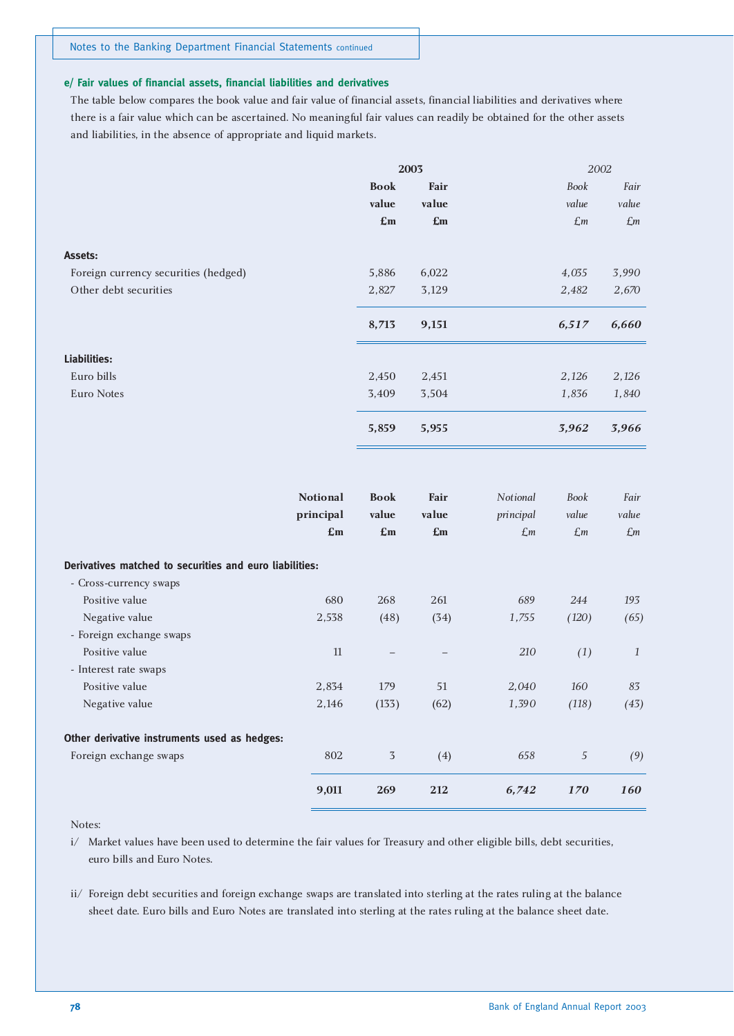#### **e/ Fair values of financial assets, financial liabilities and derivatives**

The table below compares the book value and fair value of financial assets, financial liabilities and derivatives where there is a fair value which can be ascertained. No meaningful fair values can readily be obtained for the other assets and liabilities, in the absence of appropriate and liquid markets.

|                                      | 2003                      |                |                 | 2002        |
|--------------------------------------|---------------------------|----------------|-----------------|-------------|
|                                      | <b>Book</b>               | Fair           | Book            | Fair        |
|                                      | value                     | value          | value           | value       |
|                                      | $\mathbf{f}_{\mathbf{m}}$ | $\mathbf{E}$ m | $\mathcal{L}$ m | $\pounds$ m |
| Assets:                              |                           |                |                 |             |
| Foreign currency securities (hedged) | 5,886                     | 6,022          | 4,035           | 3,990       |
| Other debt securities                | 2,827                     | 3,129          | 2,482           | 2,670       |
|                                      | 8,713                     | 9,151          | 6,517           | 6,660       |
| Liabilities:                         |                           |                |                 |             |
| Euro bills                           | 2,450                     | 2,451          | 2,126           | 2,126       |
| Euro Notes                           | 3,409                     | 3,504          | 1,836           | 1,840       |
|                                      | 5,859                     | 5,955          | 3,962           | 3,966       |

|                                                         | <b>Notional</b><br>principal<br>E <sub>m</sub> | <b>Book</b><br>value<br>$\mathbf{E}$ m | Fair<br>value<br>$\mathbf{E}$ m | Notional<br>principal<br>$\mathcal{L}$ m | Book<br>value<br>$\mathcal{L}$ m | Fair<br>value<br>$\pounds$ m |
|---------------------------------------------------------|------------------------------------------------|----------------------------------------|---------------------------------|------------------------------------------|----------------------------------|------------------------------|
| Derivatives matched to securities and euro liabilities: |                                                |                                        |                                 |                                          |                                  |                              |
| - Cross-currency swaps                                  |                                                |                                        |                                 |                                          |                                  |                              |
| Positive value                                          | 680                                            | 268                                    | 261                             | 689                                      | 244                              | 193                          |
| Negative value                                          | 2,538                                          | (48)                                   | (34)                            | 1,755                                    | (120)                            | (65)                         |
| - Foreign exchange swaps                                |                                                |                                        |                                 |                                          |                                  |                              |
| Positive value                                          | 11                                             |                                        |                                 | 210                                      | (1)                              | 1                            |
| - Interest rate swaps                                   |                                                |                                        |                                 |                                          |                                  |                              |
| Positive value                                          | 2,834                                          | 179                                    | 51                              | 2,040                                    | 160                              | 83                           |
| Negative value                                          | 2,146                                          | (133)                                  | (62)                            | 1,390                                    | (118)                            | (43)                         |
| Other derivative instruments used as hedges:            |                                                |                                        |                                 |                                          |                                  |                              |
| Foreign exchange swaps                                  | 802                                            | 3                                      | (4)                             | 658                                      | 5                                | (9)                          |
|                                                         | 9,011                                          | 269                                    | 212                             | 6,742                                    | <b>170</b>                       | <b>160</b>                   |

#### Notes:

i/ Market values have been used to determine the fair values for Treasury and other eligible bills, debt securities, euro bills and Euro Notes.

ii/ Foreign debt securities and foreign exchange swaps are translated into sterling at the rates ruling at the balance sheet date. Euro bills and Euro Notes are translated into sterling at the rates ruling at the balance sheet date.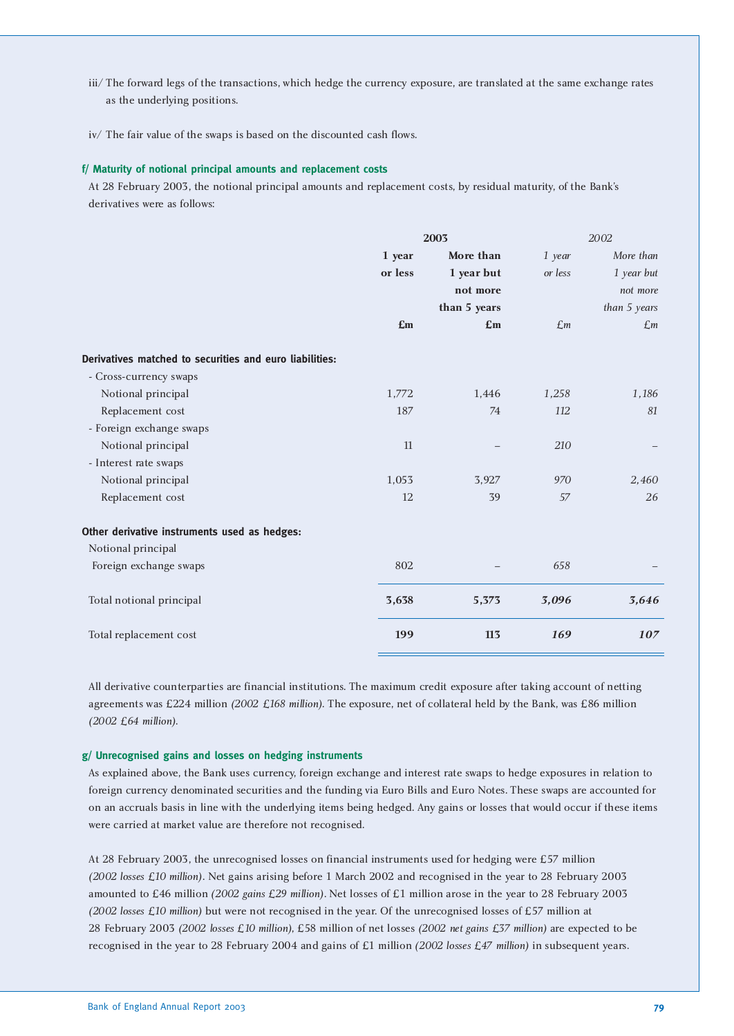- iii/ The forward legs of the transactions, which hedge the currency exposure, are translated at the same exchange rates as the underlying positions.
- iv/ The fair value of the swaps is based on the discounted cash flows.

#### **f/ Maturity of notional principal amounts and replacement costs**

At 28 February 2003, the notional principal amounts and replacement costs, by residual maturity, of the Bank's derivatives were as follows:

|                                                         |         | 2003         |                 | 2002            |  |  |
|---------------------------------------------------------|---------|--------------|-----------------|-----------------|--|--|
|                                                         | 1 year  | More than    | 1 year          | More than       |  |  |
|                                                         | or less | 1 year but   | or less         | 1 year but      |  |  |
|                                                         |         | not more     |                 | not more        |  |  |
|                                                         |         | than 5 years |                 | than 5 years    |  |  |
|                                                         | £m      | £m           | $\mathcal{L}$ m | $\mathcal{L}$ m |  |  |
| Derivatives matched to securities and euro liabilities: |         |              |                 |                 |  |  |
| - Cross-currency swaps                                  |         |              |                 |                 |  |  |
| Notional principal                                      | 1,772   | 1,446        | 1,258           | 1,186           |  |  |
| Replacement cost                                        | 187     | 74           | 112             | 81              |  |  |
| - Foreign exchange swaps                                |         |              |                 |                 |  |  |
| Notional principal                                      | 11      |              | 210             |                 |  |  |
| - Interest rate swaps                                   |         |              |                 |                 |  |  |
| Notional principal                                      | 1,053   | 3,927        | 970             | 2,460           |  |  |
| Replacement cost                                        | 12      | 39           | 57              | 26              |  |  |
| Other derivative instruments used as hedges:            |         |              |                 |                 |  |  |
| Notional principal                                      |         |              |                 |                 |  |  |
| Foreign exchange swaps                                  | 802     |              | 658             |                 |  |  |
| Total notional principal                                | 3,638   | 5,373        | 3,096           | 3,646           |  |  |
| Total replacement cost                                  | 199     | 113          | 169             | 107             |  |  |

All derivative counterparties are financial institutions. The maximum credit exposure after taking account of netting agreements was £224 million *(2002 £168 million)*. The exposure, net of collateral held by the Bank, was £86 million *(2002 £64 million)*.

#### **g/ Unrecognised gains and losses on hedging instruments**

As explained above, the Bank uses currency, foreign exchange and interest rate swaps to hedge exposures in relation to foreign currency denominated securities and the funding via Euro Bills and Euro Notes. These swaps are accounted for on an accruals basis in line with the underlying items being hedged. Any gains or losses that would occur if these items were carried at market value are therefore not recognised.

At 28 February 2003, the unrecognised losses on financial instruments used for hedging were £57 million *(2002 losses £10 million)*. Net gains arising before 1 March 2002 and recognised in the year to 28 February 2003 amounted to £46 million *(2002 gains £29 million)*. Net losses of £1 million arose in the year to 28 February 2003 *(2002 losses £10 million)* but were not recognised in the year. Of the unrecognised losses of £57 million at 28 February 2003 *(2002 losses £10 million)*, £58 million of net losses *(2002 net gains £37 million)* are expected to be recognised in the year to 28 February 2004 and gains of £1 million *(2002 losses £47 million)* in subsequent years.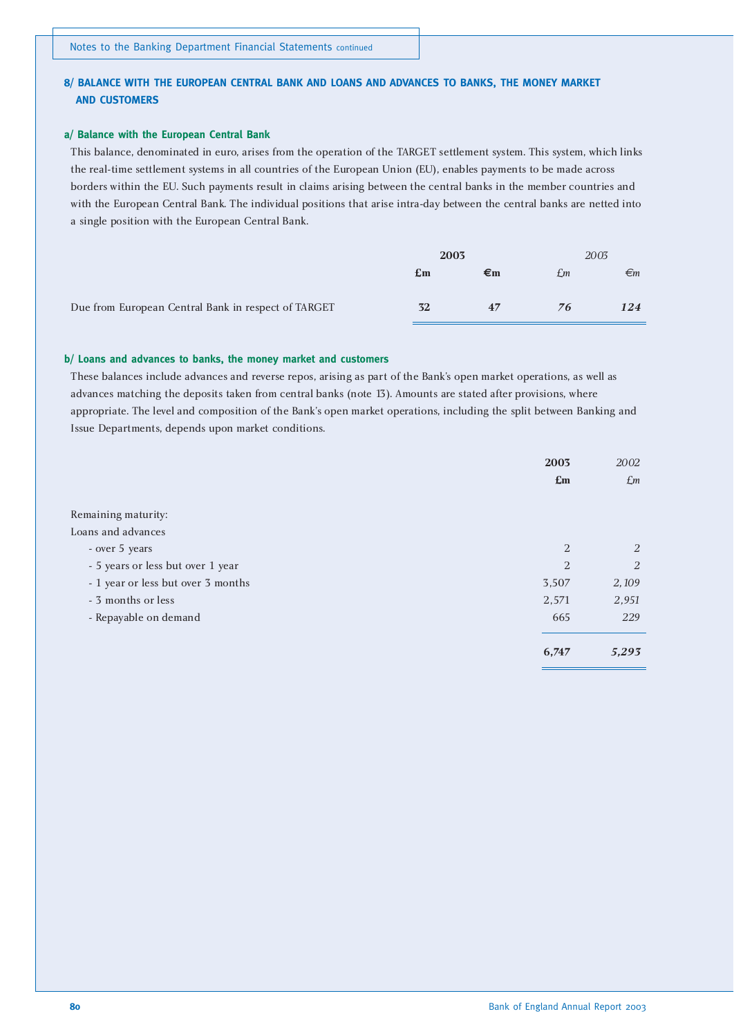#### **8/ BALANCE WITH THE EUROPEAN CENTRAL BANK AND LOANS AND ADVANCES TO BANKS, THE MONEY MARKET AND CUSTOMERS**

#### **a/ Balance with the European Central Bank**

This balance, denominated in euro, arises from the operation of the TARGET settlement system. This system, which links the real-time settlement systems in all countries of the European Union (EU), enables payments to be made across borders within the EU. Such payments result in claims arising between the central banks in the member countries and with the European Central Bank. The individual positions that arise intra-day between the central banks are netted into a single position with the European Central Bank.

|                                                     | 2003           |    | 2003 |              |
|-----------------------------------------------------|----------------|----|------|--------------|
|                                                     | $\mathbf{E}$ m | €ա | £m   | $\epsilon_m$ |
| Due from European Central Bank in respect of TARGET | 32             | 47 | 76   | 124          |

#### **b/ Loans and advances to banks, the money market and customers**

These balances include advances and reverse repos, arising as part of the Bank's open market operations, as well as advances matching the deposits taken from central banks (note 13). Amounts are stated after provisions, where appropriate. The level and composition of the Bank's open market operations, including the split between Banking and Issue Departments, depends upon market conditions.

|                                    | 2003                      | 2002            |
|------------------------------------|---------------------------|-----------------|
|                                    | $\mathbf{f}_{\mathbf{m}}$ | $\mathcal{L}$ m |
|                                    |                           |                 |
| Remaining maturity:                |                           |                 |
| Loans and advances                 |                           |                 |
| - over 5 years                     | $\overline{2}$            | 2               |
| - 5 years or less but over 1 year  | 2                         | 2               |
| - 1 year or less but over 3 months | 3,507                     | 2,109           |
| - 3 months or less                 | 2,571                     | 2,951           |
| - Repayable on demand              | 665                       | 229             |
|                                    | 6,747                     | 5,293           |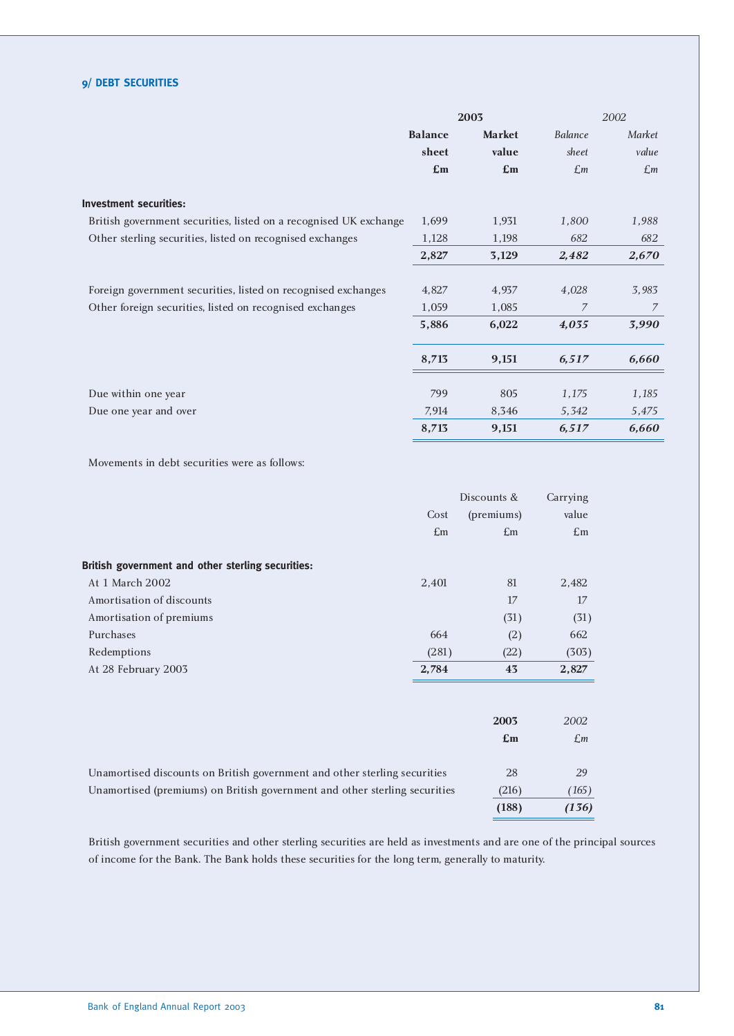#### **9/ DEBT SECURITIES**

|                                                                   |                | 2003                      |                 | 2002        |
|-------------------------------------------------------------------|----------------|---------------------------|-----------------|-------------|
|                                                                   | <b>Balance</b> | <b>Market</b>             | Balance         | Market      |
|                                                                   | sheet          | value                     | sheet           | value       |
|                                                                   | $\mathbf{E}$ m | $\mathbf{f}_{\mathbf{m}}$ | $\mathcal{L}$ m | $\pounds$ m |
| <b>Investment securities:</b>                                     |                |                           |                 |             |
| British government securities, listed on a recognised UK exchange | 1,699          | 1,931                     | 1,800           | 1,988       |
| Other sterling securities, listed on recognised exchanges         | 1,128          | 1,198                     | 682             | 682         |
|                                                                   | 2,827          | 3,129                     | 2,482           | 2,670       |
|                                                                   |                |                           |                 |             |
| Foreign government securities, listed on recognised exchanges     | 4,827          | 4,937                     | 4,028           | 3,983       |
| Other foreign securities, listed on recognised exchanges          | 1,059          | 1,085                     | 7               | 7           |
|                                                                   | 5,886          | 6,022                     | 4,035           | 3,990       |
|                                                                   | 8,713          | 9,151                     | 6,517           | 6,660       |
| Due within one year                                               | 799            | 805                       | 1,175           | 1,185       |
| Due one year and over                                             | 7,914          | 8,346                     | 5,342           | 5,475       |
|                                                                   | 8,713          | 9,151                     | 6,517           | 6,660       |

Movements in debt securities were as follows:

|                                                                            | Discounts &    | Carrying                  |
|----------------------------------------------------------------------------|----------------|---------------------------|
| Cost                                                                       | (premiums)     | value                     |
| $\pounds$ m                                                                | $\pounds$ m    | $\mathbf{f}_{\mathbf{m}}$ |
| British government and other sterling securities:                          |                |                           |
| At 1 March 2002<br>2,401                                                   | 81             | 2,482                     |
| Amortisation of discounts                                                  | 17             | 17                        |
| Amortisation of premiums                                                   | (31)           | (31)                      |
| Purchases<br>664                                                           | (2)            | 662                       |
| (281)<br>Redemptions                                                       | (22)           | (303)                     |
| 2,784<br>At 28 February 2003                                               | 43             | 2,827                     |
|                                                                            | 2003           | 2002                      |
|                                                                            | $\mathbf{E}$ m | $\mathcal{L}$ m           |
| Unamortised discounts on British government and other sterling securities  | 28             | 29                        |
| Unamortised (premiums) on British government and other sterling securities | (216)          | (165)                     |
|                                                                            | (188)          | (136)                     |

British government securities and other sterling securities are held as investments and are one of the principal sources of income for the Bank. The Bank holds these securities for the long term, generally to maturity.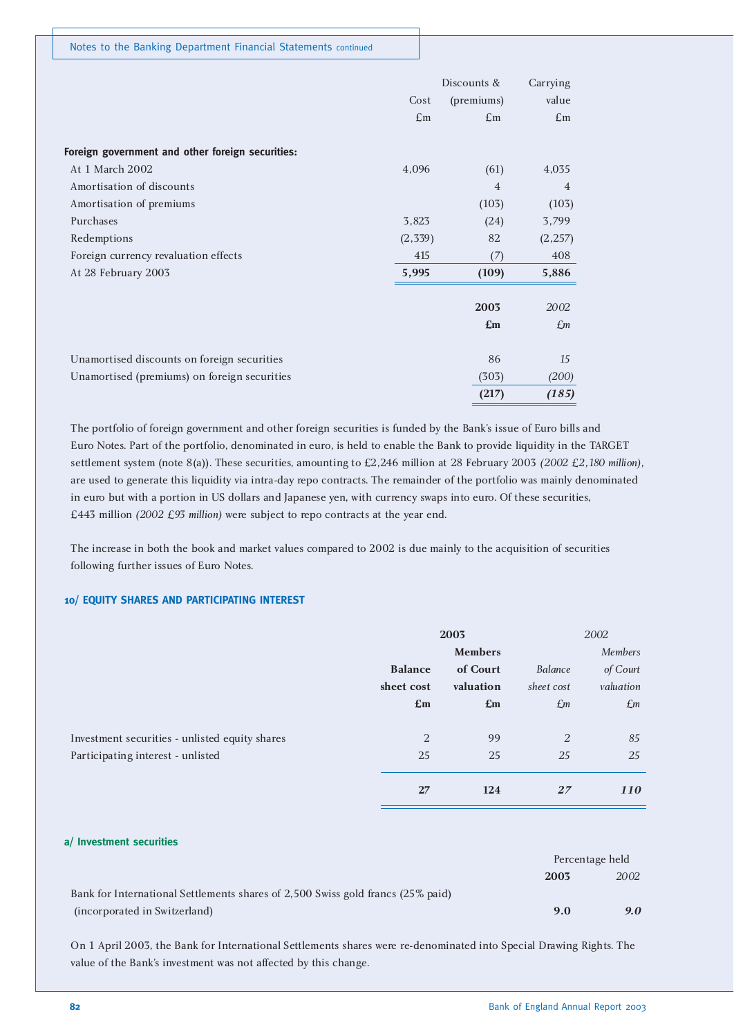|                                                  |             | Discounts &    | Carrying                  |
|--------------------------------------------------|-------------|----------------|---------------------------|
|                                                  | Cost        | (premiums)     | value                     |
|                                                  | $\pounds$ m | $\pounds$ m    | $\mathbf{f}_{\mathbf{m}}$ |
| Foreign government and other foreign securities: |             |                |                           |
| At 1 March 2002                                  | 4,096       | (61)           | 4,035                     |
| Amortisation of discounts                        |             | $\overline{4}$ | $\overline{4}$            |
| Amortisation of premiums                         |             | (103)          | (103)                     |
| Purchases                                        | 3,823       | (24)           | 3,799                     |
| Redemptions                                      | (2, 339)    | 82             | (2, 257)                  |
| Foreign currency revaluation effects             | 415         | (7)            | 408                       |
| At 28 February 2003                              | 5,995       | (109)          | 5,886                     |
|                                                  |             | 2003           | 2002                      |
|                                                  |             | E <sub>m</sub> | $\mathcal{L}$ m           |
| Unamortised discounts on foreign securities      |             | 86             | 15                        |
| Unamortised (premiums) on foreign securities     |             | (303)          | (200)                     |
|                                                  |             | (217)          | (185)                     |

The portfolio of foreign government and other foreign securities is funded by the Bank's issue of Euro bills and Euro Notes. Part of the portfolio, denominated in euro, is held to enable the Bank to provide liquidity in the TARGET settlement system (note 8(a)). These securities, amounting to £2,246 million at 28 February 2003 *(2002 £2,180 million)*, are used to generate this liquidity via intra-day repo contracts. The remainder of the portfolio was mainly denominated in euro but with a portion in US dollars and Japanese yen, with currency swaps into euro. Of these securities, £443 million *(2002 £93 million)* were subject to repo contracts at the year end.

The increase in both the book and market values compared to 2002 is due mainly to the acquisition of securities following further issues of Euro Notes.

#### **10/ EQUITY SHARES AND PARTICIPATING INTEREST**

|                                                | 2003                      |                           |                 | 2002            |  |
|------------------------------------------------|---------------------------|---------------------------|-----------------|-----------------|--|
|                                                |                           | <b>Members</b>            |                 | <b>Members</b>  |  |
|                                                | <b>Balance</b>            | of Court                  | Balance         | of Court        |  |
|                                                | sheet cost                | valuation                 | sheet cost      | valuation       |  |
|                                                | $\mathbf{f}_{\mathbf{m}}$ | $\mathbf{f}_{\mathbf{m}}$ | $\mathcal{L}$ m | $\mathcal{L}$ m |  |
|                                                |                           |                           |                 |                 |  |
| Investment securities - unlisted equity shares | $\overline{2}$            | 99                        | 2               | 85              |  |
| Participating interest - unlisted              | 25                        | 25                        | 25              | 25              |  |
|                                                |                           |                           |                 |                 |  |
|                                                | 27                        | 124                       | 27              | <i>110</i>      |  |

#### **a/ Investment securities**

|                                                                                 | Percentage held |      |
|---------------------------------------------------------------------------------|-----------------|------|
|                                                                                 | 2003            | 2002 |
| Bank for International Settlements shares of 2,500 Swiss gold francs (25% paid) |                 |      |
| (incorporated in Switzerland)                                                   | 9.0             | 9.0  |

On 1 April 2003, the Bank for International Settlements shares were re-denominated into Special Drawing Rights. The value of the Bank's investment was not affected by this change.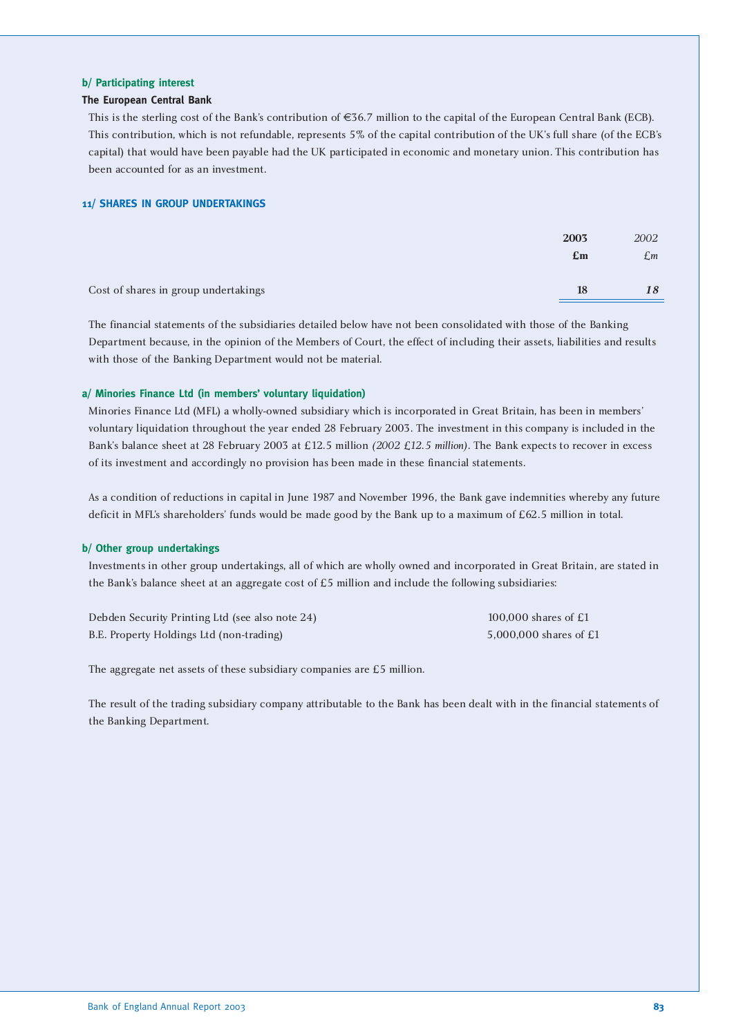#### **b/ Participating interest**

#### **The European Central Bank**

This is the sterling cost of the Bank's contribution of €36.7 million to the capital of the European Central Bank (ECB). This contribution, which is not refundable, represents 5% of the capital contribution of the UK's full share (of the ECB's capital) that would have been payable had the UK participated in economic and monetary union. This contribution has been accounted for as an investment.

#### **11/ SHARES IN GROUP UNDERTAKINGS**

|                                      | 2003           | 2002 |
|--------------------------------------|----------------|------|
|                                      | $\mathbf{E}$ m | £m   |
| Cost of shares in group undertakings | <b>18</b>      | 18   |

The financial statements of the subsidiaries detailed below have not been consolidated with those of the Banking Department because, in the opinion of the Members of Court, the effect of including their assets, liabilities and results with those of the Banking Department would not be material.

#### **a/ Minories Finance Ltd (in members' voluntary liquidation)**

Minories Finance Ltd (MFL) a wholly-owned subsidiary which is incorporated in Great Britain, has been in members' voluntary liquidation throughout the year ended 28 February 2003. The investment in this company is included in the Bank's balance sheet at 28 February 2003 at £12.5 million *(2002 £12.5 million)*. The Bank expects to recover in excess of its investment and accordingly no provision has been made in these financial statements.

As a condition of reductions in capital in June 1987 and November 1996, the Bank gave indemnities whereby any future deficit in MFL's shareholders' funds would be made good by the Bank up to a maximum of £62.5 million in total.

#### **b/ Other group undertakings**

Investments in other group undertakings, all of which are wholly owned and incorporated in Great Britain, are stated in the Bank's balance sheet at an aggregate cost of £5 million and include the following subsidiaries:

Debden Security Printing Ltd (see also note 24) 100,000 shares of £1 B.E. Property Holdings Ltd (non-trading) 5,000,000 shares of £1

The aggregate net assets of these subsidiary companies are £5 million.

The result of the trading subsidiary company attributable to the Bank has been dealt with in the financial statements of the Banking Department.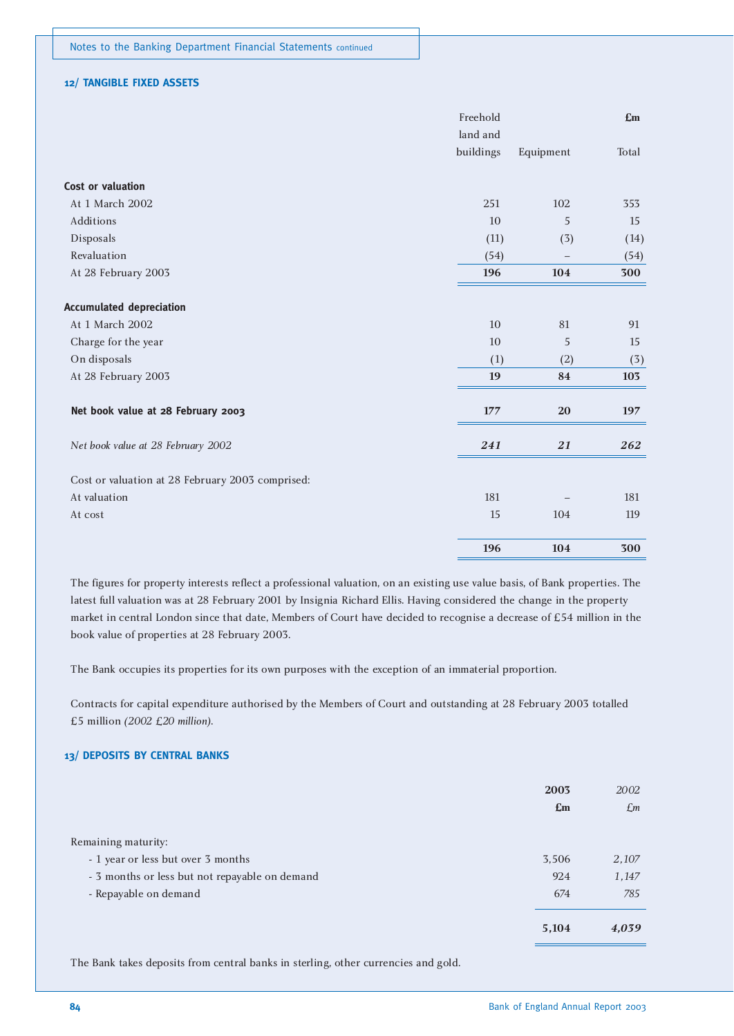#### **12/ TANGIBLE FIXED ASSETS**

|                                                  | Freehold  |                   | E <sub>m</sub> |
|--------------------------------------------------|-----------|-------------------|----------------|
|                                                  | land and  |                   |                |
|                                                  | buildings | Equipment         | Total          |
| Cost or valuation                                |           |                   |                |
| At 1 March 2002                                  | 251       | 102               | 353            |
| Additions                                        | 10        | 5                 | 15             |
| Disposals                                        | (11)      | (3)               | (14)           |
| Revaluation                                      | (54)      | $\qquad \qquad -$ | (54)           |
| At 28 February 2003                              | 196       | 104               | 300            |
| <b>Accumulated depreciation</b>                  |           |                   |                |
| At 1 March 2002                                  | 10        | 81                | 91             |
| Charge for the year                              | 10        | 5                 | 15             |
| On disposals                                     | (1)       | (2)               | (3)            |
| At 28 February 2003                              | 19        | 84                | 103            |
| Net book value at 28 February 2003               | 177       | ${\bf 20}$        | 197            |
| Net book value at 28 February 2002               | 241       | ${\bf 21}$        | 262            |
| Cost or valuation at 28 February 2003 comprised: |           |                   |                |
| At valuation                                     | 181       |                   | 181            |
| At cost                                          | 15        | 104               | 119            |
|                                                  | 196       | 104               | 300            |

The figures for property interests reflect a professional valuation, on an existing use value basis, of Bank properties. The latest full valuation was at 28 February 2001 by Insignia Richard Ellis. Having considered the change in the property market in central London since that date, Members of Court have decided to recognise a decrease of £54 million in the book value of properties at 28 February 2003.

The Bank occupies its properties for its own purposes with the exception of an immaterial proportion.

Contracts for capital expenditure authorised by the Members of Court and outstanding at 28 February 2003 totalled £5 million *(2002 £20 million)*.

#### **13/ DEPOSITS BY CENTRAL BANKS**

|                                                | 2003<br>$\mathbf{f}_{\mathbf{m}}$ | 2002<br>£m |
|------------------------------------------------|-----------------------------------|------------|
| Remaining maturity:                            |                                   |            |
| - 1 year or less but over 3 months             | 3,506                             | 2,107      |
| - 3 months or less but not repayable on demand | 924                               | 1,147      |
| - Repayable on demand                          | 674                               | 785        |
|                                                | 5,104                             | 4,039      |

The Bank takes deposits from central banks in sterling, other currencies and gold.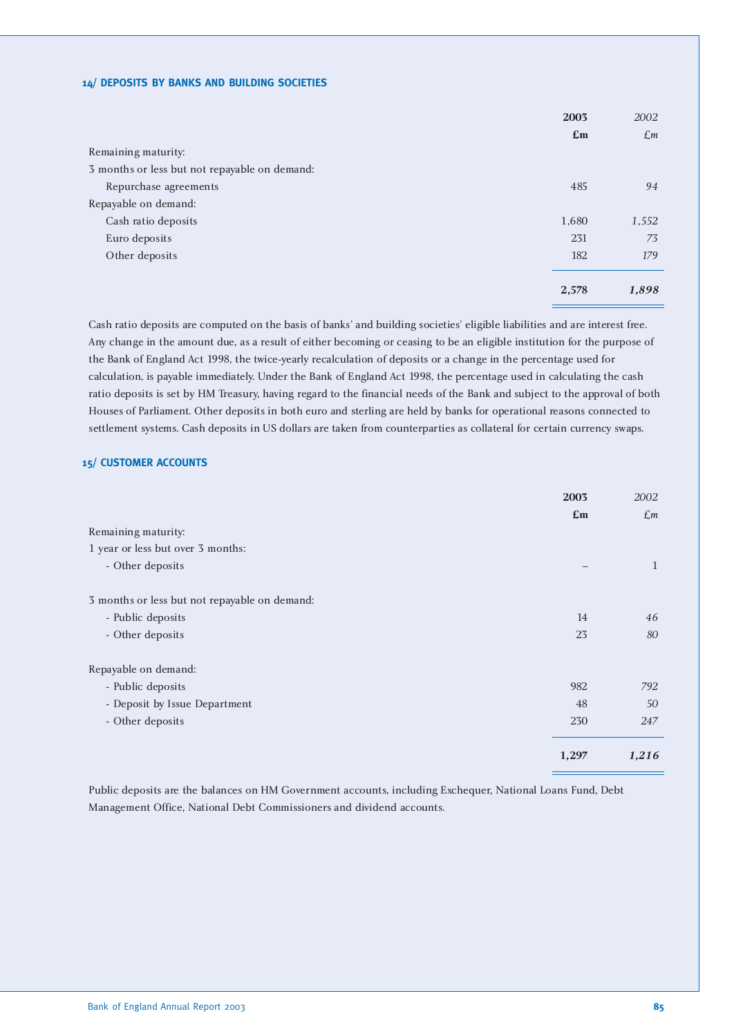#### **14/ DEPOSITS BY BANKS AND BUILDING SOCIETIES**

|                                               | 2003                      | 2002  |
|-----------------------------------------------|---------------------------|-------|
|                                               | $\mathbf{f}_{\mathbf{m}}$ | £m    |
| Remaining maturity:                           |                           |       |
| 3 months or less but not repayable on demand: |                           |       |
| Repurchase agreements                         | 485                       | 94    |
| Repayable on demand:                          |                           |       |
| Cash ratio deposits                           | 1,680                     | 1,552 |
| Euro deposits                                 | 231                       | 73    |
| Other deposits                                | 182                       | 179   |
|                                               |                           |       |
|                                               | 2,578                     | 1,898 |

Cash ratio deposits are computed on the basis of banks' and building societies' eligible liabilities and are interest free. Any change in the amount due, as a result of either becoming or ceasing to be an eligible institution for the purpose of the Bank of England Act 1998, the twice-yearly recalculation of deposits or a change in the percentage used for calculation, is payable immediately. Under the Bank of England Act 1998, the percentage used in calculating the cash ratio deposits is set by HM Treasury, having regard to the financial needs of the Bank and subject to the approval of both Houses of Parliament. Other deposits in both euro and sterling are held by banks for operational reasons connected to settlement systems. Cash deposits in US dollars are taken from counterparties as collateral for certain currency swaps.

#### **15/ CUSTOMER ACCOUNTS**

|                                               | 2003                      | 2002            |
|-----------------------------------------------|---------------------------|-----------------|
|                                               | $\mathbf{f}_{\mathbf{m}}$ | $\mathcal{L}$ m |
| Remaining maturity:                           |                           |                 |
| 1 year or less but over 3 months:             |                           |                 |
| - Other deposits                              |                           | 1               |
| 3 months or less but not repayable on demand: |                           |                 |
| - Public deposits                             | 14                        | 46              |
| - Other deposits                              | 23                        | 80              |
| Repayable on demand:                          |                           |                 |
| - Public deposits                             | 982                       | 792             |
| - Deposit by Issue Department                 | 48                        | 50              |
| - Other deposits                              | 230                       | 247             |
|                                               | 1,297                     | 1,216           |

Public deposits are the balances on HM Government accounts, including Exchequer, National Loans Fund, Debt Management Office, National Debt Commissioners and dividend accounts.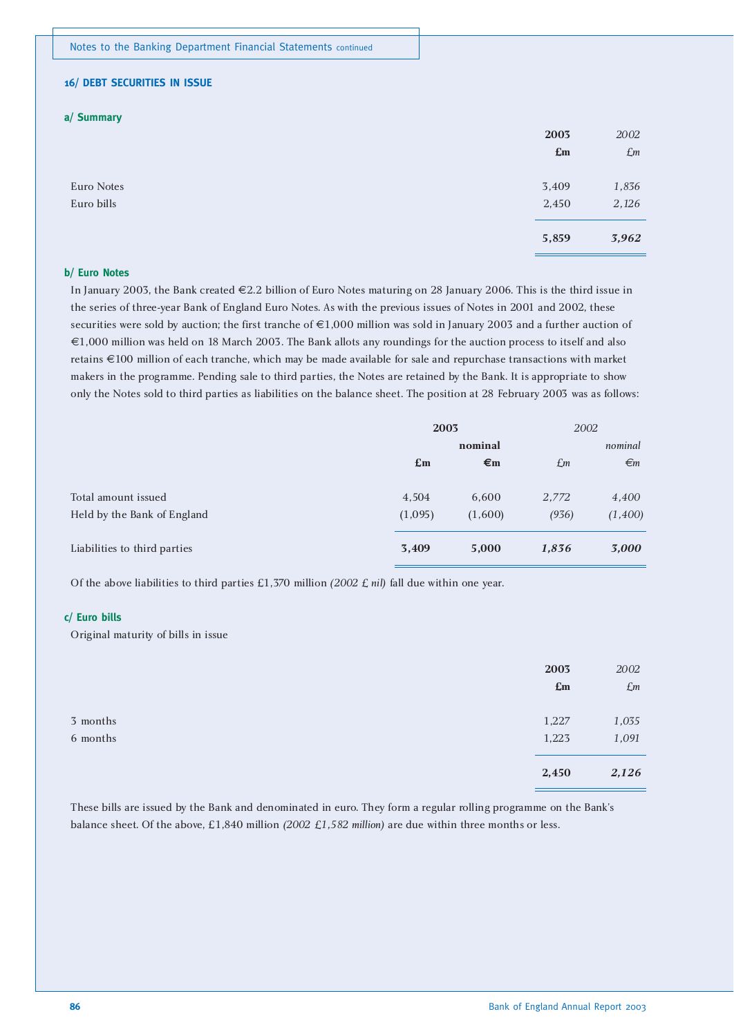#### **16/ DEBT SECURITIES IN ISSUE**

#### **a/ Summary**

|            | 2003                      | 2002            |
|------------|---------------------------|-----------------|
|            | $\mathbf{f}_{\mathbf{m}}$ | $\mathcal{L}$ m |
|            |                           |                 |
| Euro Notes | 3,409                     | 1,836           |
| Euro bills | 2,450                     | 2,126           |
|            |                           |                 |
|            | 5,859                     | 3,962           |
|            |                           |                 |

#### **b/ Euro Notes**

In January 2003, the Bank created €2.2 billion of Euro Notes maturing on 28 January 2006. This is the third issue in the series of three-year Bank of England Euro Notes. As with the previous issues of Notes in 2001 and 2002, these securities were sold by auction; the first tranche of €1,000 million was sold in January 2003 and a further auction of €1,000 million was held on 18 March 2003. The Bank allots any roundings for the auction process to itself and also retains €100 million of each tranche, which may be made available for sale and repurchase transactions with market makers in the programme. Pending sale to third parties, the Notes are retained by the Bank. It is appropriate to show only the Notes sold to third parties as liabilities on the balance sheet. The position at 28 February 2003 was as follows:

|                              | 2003           |                    | 2002  |              |
|------------------------------|----------------|--------------------|-------|--------------|
|                              |                | nominal            |       | nominal      |
|                              | $\mathbf{E}$ m | $\epsilon_{\rm m}$ | £m    | $\epsilon$ m |
| Total amount issued          | 4,504          | 6,600              | 2,772 | 4,400        |
| Held by the Bank of England  | (1,095)        | (1,600)            | (936) | (1,400)      |
| Liabilities to third parties | 3,409          | 5,000              | 1,836 | 3,000        |

Of the above liabilities to third parties £1,370 million *(2002 £ nil)* fall due within one year.

#### **c/ Euro bills**

Original maturity of bills in issue

|                      | 2003<br>$\mathbf{f}_{\mathbf{m}}$ | 2002<br>$\mathcal{L}$ m |
|----------------------|-----------------------------------|-------------------------|
| 3 months<br>6 months | 1,227<br>1,223                    | 1,035<br>1,091          |
|                      | 2,450                             | 2,126                   |

These bills are issued by the Bank and denominated in euro. They form a regular rolling programme on the Bank's balance sheet. Of the above, £1,840 million *(2002 £1,582 million)* are due within three months or less.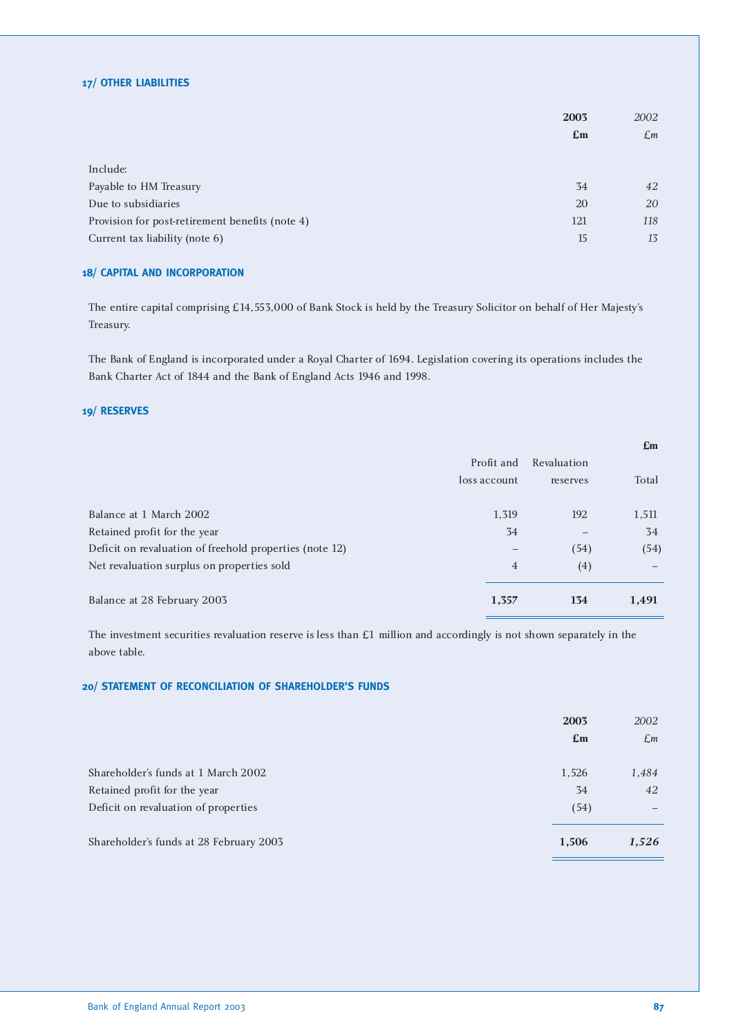#### **17/ OTHER LIABILITIES**

|                                                 | 2003           | 2002 |
|-------------------------------------------------|----------------|------|
|                                                 | $\mathbf{E}$ m | £m   |
|                                                 |                |      |
| Include:                                        |                |      |
| Payable to HM Treasury                          | 34             | 42   |
| Due to subsidiaries                             | 20             | 20   |
| Provision for post-retirement benefits (note 4) | 121            | 118  |
| Current tax liability (note 6)                  | 15             | 13   |

#### **18/ CAPITAL AND INCORPORATION**

The entire capital comprising £14,553,000 of Bank Stock is held by the Treasury Solicitor on behalf of Her Majesty's Treasury.

The Bank of England is incorporated under a Royal Charter of 1694. Legislation covering its operations includes the Bank Charter Act of 1844 and the Bank of England Acts 1946 and 1998.

#### **19/ RESERVES**

|                                                         |                          |             | $\mathbf{E}$ m |
|---------------------------------------------------------|--------------------------|-------------|----------------|
|                                                         | Profit and               | Revaluation |                |
|                                                         | loss account             | reserves    | Total          |
|                                                         |                          |             |                |
| Balance at 1 March 2002                                 | 1,319                    | 192         | 1,511          |
| Retained profit for the year                            | 34                       |             | 34             |
| Deficit on revaluation of freehold properties (note 12) | $\overline{\phantom{m}}$ | (54)        | (54)           |
| Net revaluation surplus on properties sold              | $\overline{4}$           | (4)         |                |
| Balance at 28 February 2003                             | 1,357                    | 134         | 1,491          |

The investment securities revaluation reserve is less than £1 million and accordingly is not shown separately in the above table.

#### **20/ STATEMENT OF RECONCILIATION OF SHAREHOLDER'S FUNDS**

|                                         | 2003           | 2002                     |
|-----------------------------------------|----------------|--------------------------|
|                                         | $\mathbf{E}$ m | £m                       |
|                                         |                |                          |
| Shareholder's funds at 1 March 2002     | 1,526          | 1,484                    |
| Retained profit for the year            | 34             | 42                       |
| Deficit on revaluation of properties    | (54)           | $\overline{\phantom{0}}$ |
| Shareholder's funds at 28 February 2003 | 1,506          | 1,526                    |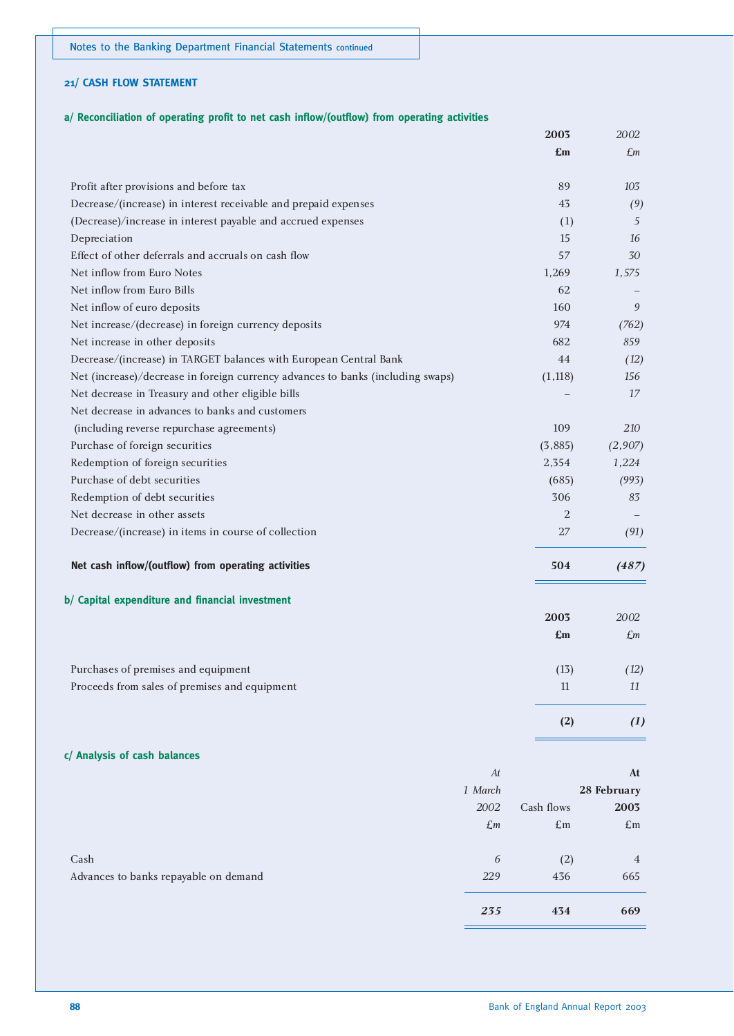#### **21/ CASH FLOW STATEMENT**

#### **a/ Reconciliation of operating profit to net cash inflow/(outflow) from operating activities**

|                                                                                 |                | 2003           | 2002            |
|---------------------------------------------------------------------------------|----------------|----------------|-----------------|
|                                                                                 |                | £m             | £m              |
| Profit after provisions and before tax                                          |                | 89             | 103             |
| Decrease/(increase) in interest receivable and prepaid expenses                 |                | 43             | (9)             |
| (Decrease)/increase in interest payable and accrued expenses                    |                | (1)            | 5               |
| Depreciation                                                                    |                | 15             | 16              |
| Effect of other deferrals and accruals on cash flow                             |                | 57             | 30              |
| Net inflow from Euro Notes                                                      |                | 1,269          | 1,575           |
| Net inflow from Euro Bills                                                      |                | 62             |                 |
| Net inflow of euro deposits                                                     |                | 160            | 9               |
| Net increase/(decrease) in foreign currency deposits                            |                | 974            | (762)           |
| Net increase in other deposits                                                  |                | 682            | 859             |
| Decrease/(increase) in TARGET balances with European Central Bank               |                | 44             | (12)            |
| Net (increase)/decrease in foreign currency advances to banks (including swaps) |                | (1, 118)       | 156             |
| Net decrease in Treasury and other eligible bills                               |                |                | 17              |
| Net decrease in advances to banks and customers                                 |                |                |                 |
| (including reverse repurchase agreements)                                       |                | 109            | 210             |
| Purchase of foreign securities                                                  |                | (3,885)        | (2,907)         |
| Redemption of foreign securities                                                |                | 2,354          | 1,224           |
| Purchase of debt securities                                                     |                | (685)          | (993)           |
| Redemption of debt securities                                                   |                | 306            | 83              |
| Net decrease in other assets                                                    |                | $\overline{2}$ |                 |
| Decrease/(increase) in items in course of collection                            |                | 27             | (91)            |
| Net cash inflow/(outflow) from operating activities                             |                | 504            | (487)           |
| b/ Capital expenditure and financial investment                                 |                |                |                 |
|                                                                                 |                | 2003           | 2002            |
|                                                                                 |                | £m             | $\mathcal{L}$ m |
| Purchases of premises and equipment                                             |                | (13)           | (12)            |
| Proceeds from sales of premises and equipment                                   |                | 11             | 11              |
|                                                                                 |                | (2)            | (1)             |
| c/ Analysis of cash balances                                                    |                |                |                 |
|                                                                                 | At             |                | At              |
|                                                                                 | 1 March        |                | 28 February     |
|                                                                                 | 2002           | Cash flows     | 2003            |
|                                                                                 | $\mathcal{L}m$ | $\pounds$ m    | $\pounds$ m     |
| Cash                                                                            | 6              | (2)            | 4               |
| Advances to banks repayable on demand                                           | 229            | 436            | 665             |
|                                                                                 | 235            | 434            | 669             |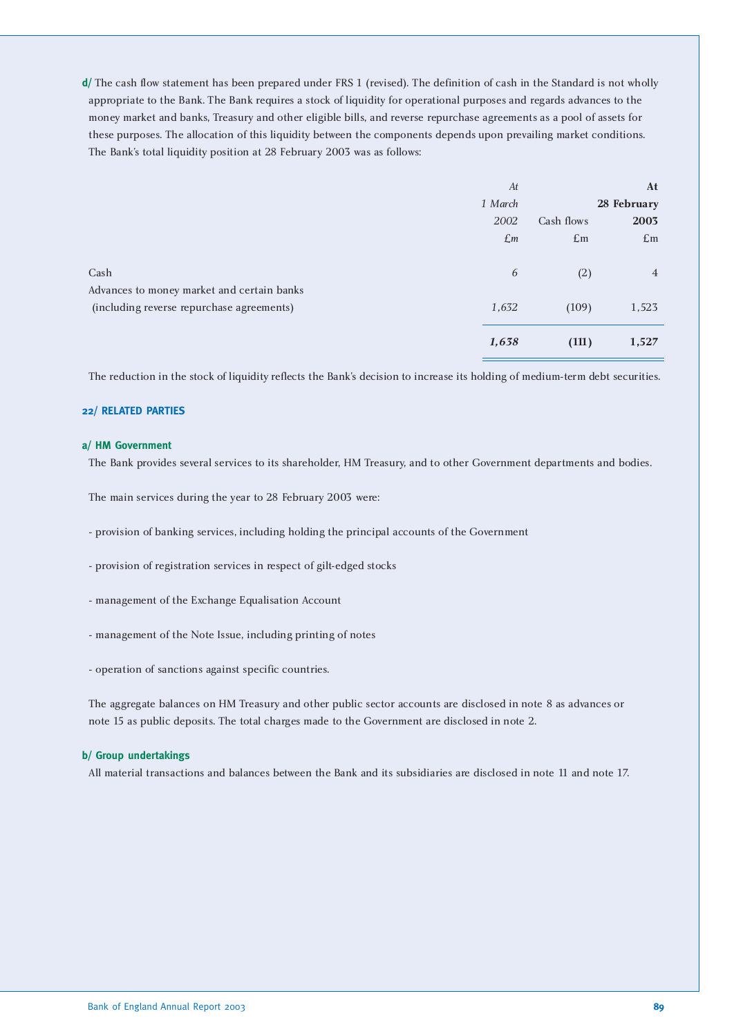**d/** The cash flow statement has been prepared under FRS 1 (revised). The definition of cash in the Standard is not wholly appropriate to the Bank. The Bank requires a stock of liquidity for operational purposes and regards advances to the money market and banks, Treasury and other eligible bills, and reverse repurchase agreements as a pool of assets for these purposes. The allocation of this liquidity between the components depends upon prevailing market conditions. The Bank's total liquidity position at 28 February 2003 was as follows:

|                                            | At              |             | At             |
|--------------------------------------------|-----------------|-------------|----------------|
|                                            | 1 March         |             | 28 February    |
|                                            | 2002            | Cash flows  | 2003           |
|                                            | $\mathcal{L}$ m | $\pounds$ m | $\pounds$ m    |
|                                            |                 |             |                |
| Cash                                       | 6               | (2)         | $\overline{4}$ |
| Advances to money market and certain banks |                 |             |                |
| (including reverse repurchase agreements)  | 1,632           | (109)       | 1,523          |
|                                            |                 |             |                |
|                                            | 1,638           | (111)       | 1,527          |
|                                            |                 |             |                |

The reduction in the stock of liquidity reflects the Bank's decision to increase its holding of medium-term debt securities.

#### **22/ RELATED PARTIES**

#### **a/ HM Government**

The Bank provides several services to its shareholder, HM Treasury, and to other Government departments and bodies.

The main services during the year to 28 February 2003 were:

- provision of banking services, including holding the principal accounts of the Government
- provision of registration services in respect of gilt-edged stocks
- management of the Exchange Equalisation Account
- management of the Note Issue, including printing of notes
- operation of sanctions against specific countries.

The aggregate balances on HM Treasury and other public sector accounts are disclosed in note 8 as advances or note 15 as public deposits. The total charges made to the Government are disclosed in note 2.

#### **b/ Group undertakings**

All material transactions and balances between the Bank and its subsidiaries are disclosed in note 11 and note 17.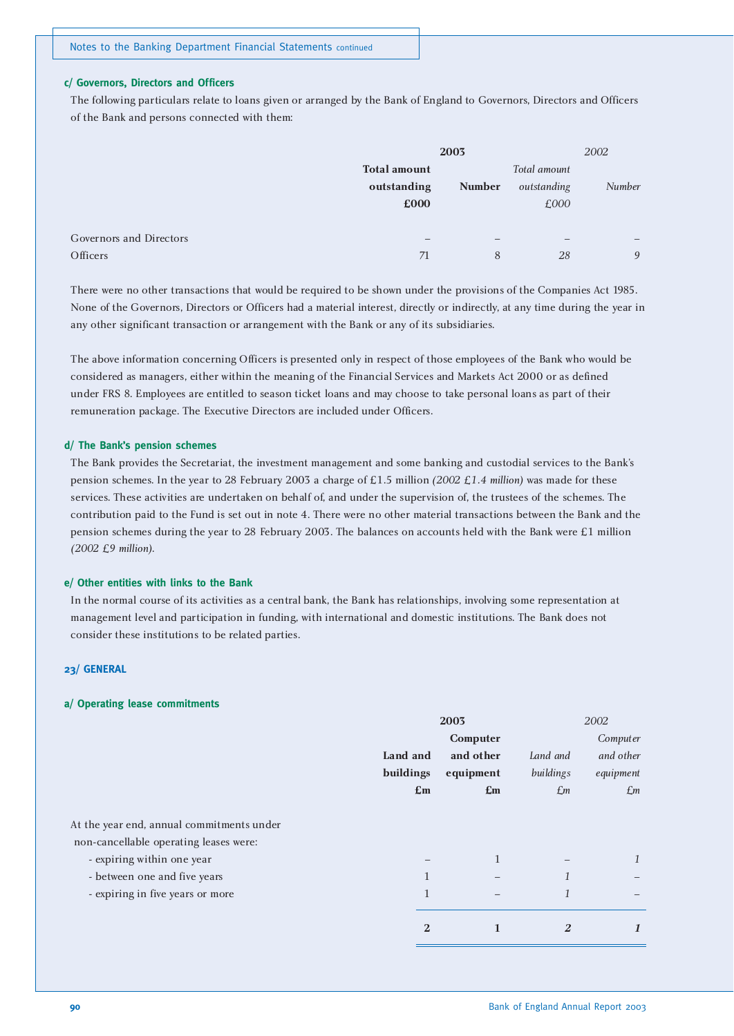#### **c/ Governors, Directors and Officers**

The following particulars relate to loans given or arranged by the Bank of England to Governors, Directors and Officers of the Bank and persons connected with them:

|                         | 2003                |               | 2002         |        |
|-------------------------|---------------------|---------------|--------------|--------|
|                         | <b>Total amount</b> |               | Total amount |        |
|                         | outstanding         | <b>Number</b> | outstanding  | Number |
|                         | £000                |               | £000         |        |
|                         |                     |               |              |        |
| Governors and Directors |                     |               |              | -      |
| Officers                | 71                  | 8             | 28           | 9      |
|                         |                     |               |              |        |

There were no other transactions that would be required to be shown under the provisions of the Companies Act 1985. None of the Governors, Directors or Officers had a material interest, directly or indirectly, at any time during the year in any other significant transaction or arrangement with the Bank or any of its subsidiaries.

The above information concerning Officers is presented only in respect of those employees of the Bank who would be considered as managers, either within the meaning of the Financial Services and Markets Act 2000 or as defined under FRS 8. Employees are entitled to season ticket loans and may choose to take personal loans as part of their remuneration package. The Executive Directors are included under Officers.

#### **d/ The Bank's pension schemes**

The Bank provides the Secretariat, the investment management and some banking and custodial services to the Bank's pension schemes. In the year to 28 February 2003 a charge of £1.5 million *(2002 £1.4 million)* was made for these services. These activities are undertaken on behalf of, and under the supervision of, the trustees of the schemes. The contribution paid to the Fund is set out in note 4. There were no other material transactions between the Bank and the pension schemes during the year to 28 February 2003. The balances on accounts held with the Bank were £1 million *(2002 £9 million)*.

#### **e/ Other entities with links to the Bank**

In the normal course of its activities as a central bank, the Bank has relationships, involving some representation at management level and participation in funding, with international and domestic institutions. The Bank does not consider these institutions to be related parties.

#### **23/ GENERAL**

#### **a/ Operating lease commitments**

| 2003           |                           |                 | 2002        |  |
|----------------|---------------------------|-----------------|-------------|--|
|                | Computer                  |                 | Computer    |  |
| Land and       | and other                 | Land and        | and other   |  |
| buildings      | equipment                 | buildings       | equipment   |  |
| $\mathbf{E}$ m | $\mathbf{f}_{\mathbf{m}}$ | $\mathcal{L}$ m | $\pounds$ m |  |
|                |                           |                 |             |  |
|                |                           |                 |             |  |
|                | $\mathbf{1}$              |                 | 1           |  |
| $\mathbf{1}$   |                           | $\mathcal{I}$   | -           |  |
| 1              |                           | 1               |             |  |
| $\overline{2}$ |                           | 2               | $\bf{1}$    |  |
|                |                           |                 |             |  |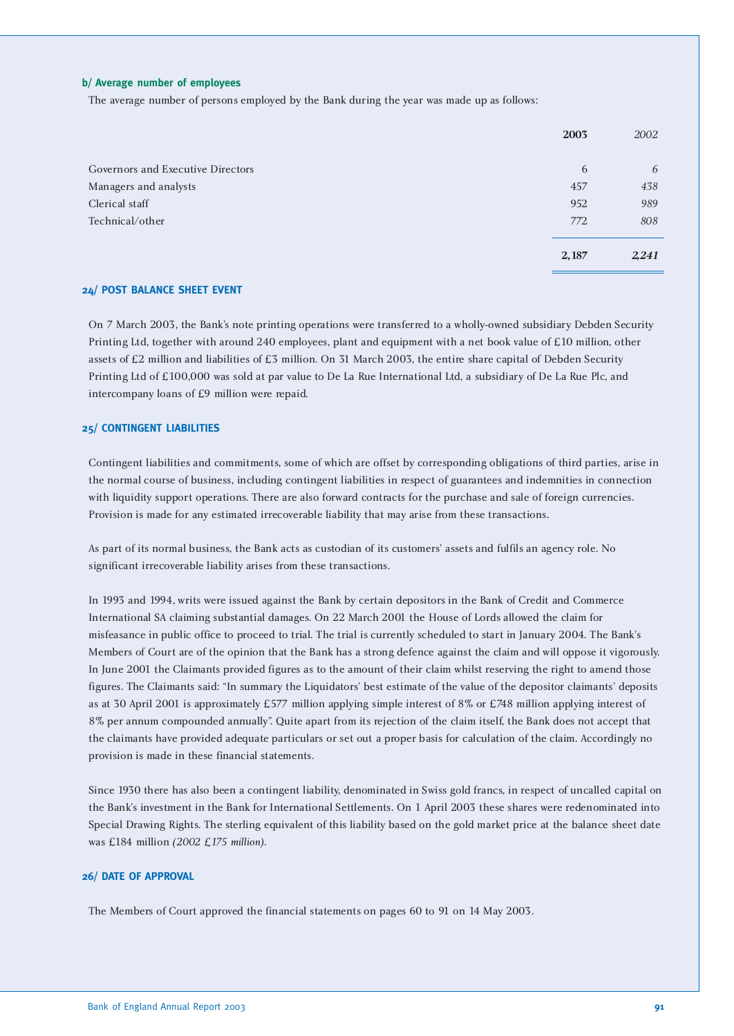#### **b/ Average number of employees**

The average number of persons employed by the Bank during the year was made up as follows:

|                                   | 2003  | 2002  |
|-----------------------------------|-------|-------|
|                                   |       |       |
| Governors and Executive Directors | 6     | 6     |
| Managers and analysts             | 457   | 438   |
| Clerical staff                    | 952   | 989   |
| Technical/other                   | 772   | 808   |
|                                   |       |       |
|                                   | 2,187 | 2,241 |
|                                   |       |       |

#### **24/ POST BALANCE SHEET EVENT**

On 7 March 2003, the Bank's note printing operations were transferred to a wholly-owned subsidiary Debden Security Printing Ltd, together with around 240 employees, plant and equipment with a net book value of £10 million, other assets of £2 million and liabilities of £3 million. On 31 March 2003, the entire share capital of Debden Security Printing Ltd of £100,000 was sold at par value to De La Rue International Ltd, a subsidiary of De La Rue Plc, and intercompany loans of £9 million were repaid.

#### **25/ CONTINGENT LIABILITIES**

Contingent liabilities and commitments, some of which are offset by corresponding obligations of third parties, arise in the normal course of business, including contingent liabilities in respect of guarantees and indemnities in connection with liquidity support operations. There are also forward contracts for the purchase and sale of foreign currencies. Provision is made for any estimated irrecoverable liability that may arise from these transactions.

As part of its normal business, the Bank acts as custodian of its customers' assets and fulfils an agency role. No significant irrecoverable liability arises from these transactions.

In 1993 and 1994, writs were issued against the Bank by certain depositors in the Bank of Credit and Commerce International SA claiming substantial damages. On 22 March 2001 the House of Lords allowed the claim for misfeasance in public office to proceed to trial. The trial is currently scheduled to start in January 2004. The Bank's Members of Court are of the opinion that the Bank has a strong defence against the claim and will oppose it vigorously. In June 2001 the Claimants provided figures as to the amount of their claim whilst reserving the right to amend those figures. The Claimants said: "In summary the Liquidators' best estimate of the value of the depositor claimants' deposits as at 30 April 2001 is approximately £577 million applying simple interest of 8% or £748 million applying interest of 8% per annum compounded annually". Quite apart from its rejection of the claim itself, the Bank does not accept that the claimants have provided adequate particulars or set out a proper basis for calculation of the claim. Accordingly no provision is made in these financial statements.

Since 1930 there has also been a contingent liability, denominated in Swiss gold francs, in respect of uncalled capital on the Bank's investment in the Bank for International Settlements. On 1 April 2003 these shares were redenominated into Special Drawing Rights. The sterling equivalent of this liability based on the gold market price at the balance sheet date was £184 million *(2002 £175 million)*.

#### **26/ DATE OF APPROVAL**

The Members of Court approved the financial statements on pages 60 to 91 on 14 May 2003.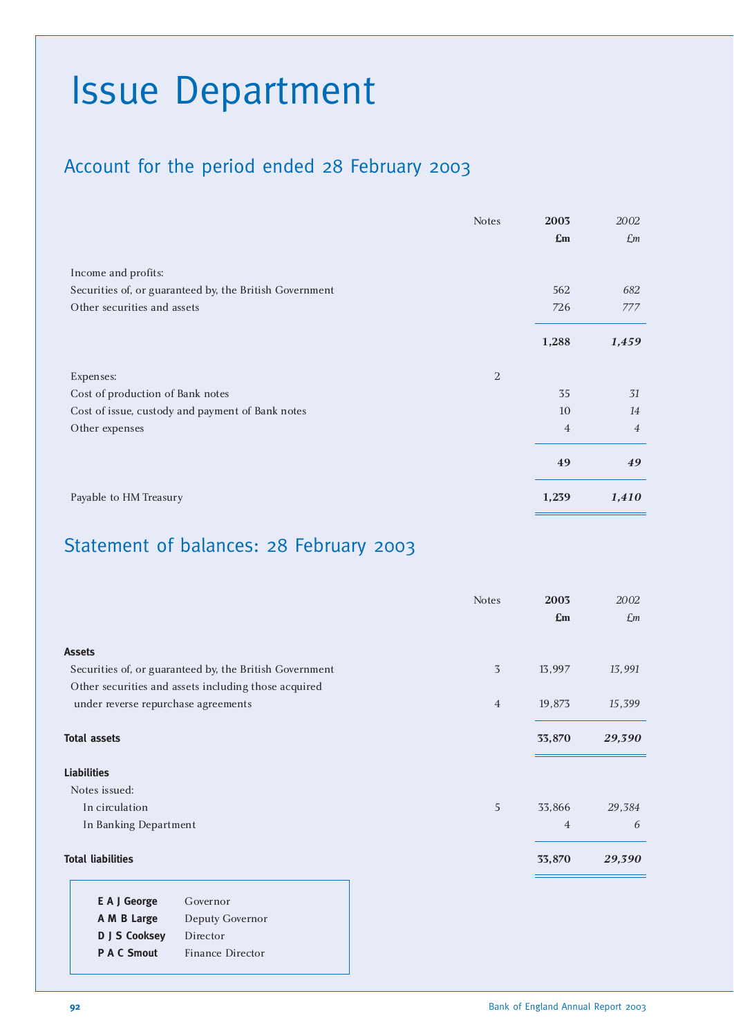# Issue Department

### Account for the period ended 28 February 2003

|                                                         | <b>Notes</b>   | 2003                      | 2002           |
|---------------------------------------------------------|----------------|---------------------------|----------------|
|                                                         |                | $\mathbf{f}_{\mathbf{m}}$ | $\pounds$ m    |
|                                                         |                |                           |                |
| Income and profits:                                     |                |                           |                |
| Securities of, or guaranteed by, the British Government |                | 562                       | 682            |
| Other securities and assets                             |                | 726                       | 777            |
|                                                         |                |                           |                |
|                                                         |                | 1,288                     | 1,459          |
| Expenses:                                               | $\overline{2}$ |                           |                |
| Cost of production of Bank notes                        |                | 35                        | 31             |
| Cost of issue, custody and payment of Bank notes        |                | 10                        | 14             |
| Other expenses                                          |                | $\overline{4}$            | $\overline{4}$ |
|                                                         |                | 49                        | 49             |
| Payable to HM Treasury                                  |                | 1,239                     | 1,410          |

# Statement of balances: 28 February 2003

|                                                         | <b>Notes</b>   | 2003           | 2002           |
|---------------------------------------------------------|----------------|----------------|----------------|
|                                                         |                | $\mathbf{E}$ m | $\mathcal{L}m$ |
| <b>Assets</b>                                           |                |                |                |
| Securities of, or guaranteed by, the British Government | 3              | 13,997         | 13,991         |
| Other securities and assets including those acquired    |                |                |                |
| under reverse repurchase agreements                     | $\overline{4}$ | 19,873         | 15,399         |
| <b>Total assets</b>                                     |                | 33,870         | 29,390         |
| <b>Liabilities</b>                                      |                |                |                |
| Notes issued:                                           |                |                |                |
| In circulation                                          | 5              | 33,866         | 29,384         |
| In Banking Department                                   |                | $\overline{4}$ | 6              |
| <b>Total liabilities</b>                                |                | 33,870         | 29,390         |
|                                                         |                |                |                |

| E A J George       | Governor         |
|--------------------|------------------|
| A M B Large        | Deputy Governor  |
| D J S Cooksey      | Director         |
| <b>P A C Smout</b> | Finance Director |
|                    |                  |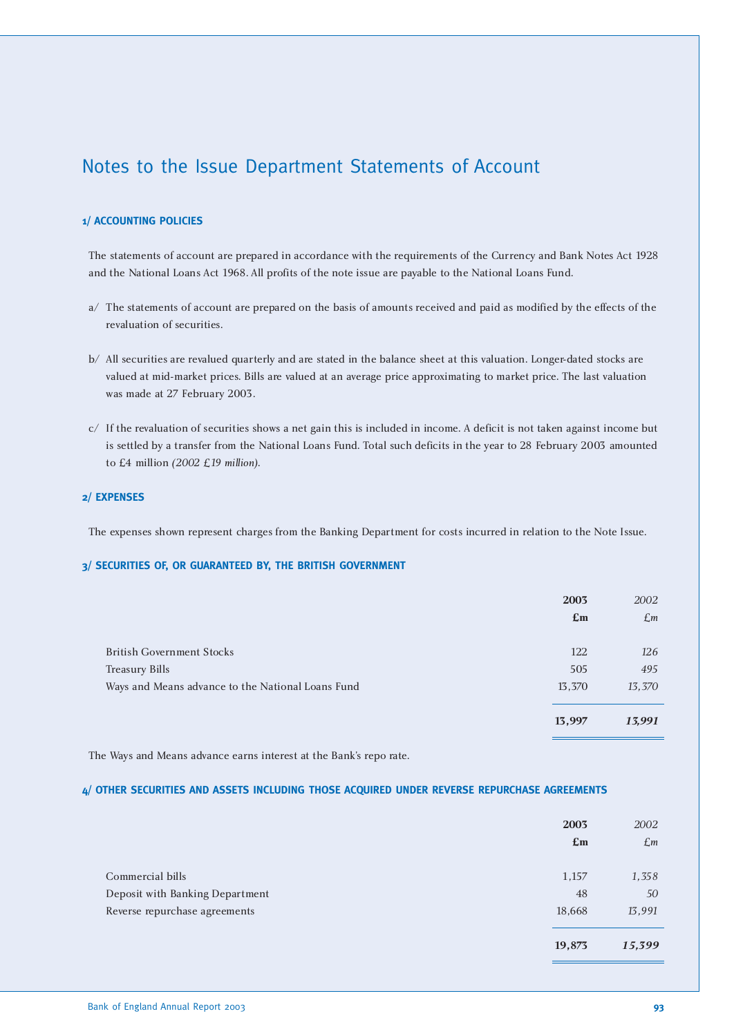### Notes to the Issue Department Statements of Account

#### **1/ ACCOUNTING POLICIES**

The statements of account are prepared in accordance with the requirements of the Currency and Bank Notes Act 1928 and the National Loans Act 1968. All profits of the note issue are payable to the National Loans Fund.

- a/ The statements of account are prepared on the basis of amounts received and paid as modified by the effects of the revaluation of securities.
- b/ All securities are revalued quarterly and are stated in the balance sheet at this valuation. Longer-dated stocks are valued at mid-market prices. Bills are valued at an average price approximating to market price. The last valuation was made at 27 February 2003.
- c/ If the revaluation of securities shows a net gain this is included in income. A deficit is not taken against income but is settled by a transfer from the National Loans Fund. Total such deficits in the year to 28 February 2003 amounted to £4 million *(2002 £19 million)*.

#### **2/ EXPENSES**

The expenses shown represent charges from the Banking Department for costs incurred in relation to the Note Issue.

#### **3/ SECURITIES OF, OR GUARANTEED BY, THE BRITISH GOVERNMENT**

|                                                   | 2003<br>$\mathbf{f}_{\mathbf{m}}$ | 2002<br>£m |
|---------------------------------------------------|-----------------------------------|------------|
| <b>British Government Stocks</b>                  | 122                               | 126        |
| <b>Treasury Bills</b>                             | 505                               | 495        |
| Ways and Means advance to the National Loans Fund | 13,370                            | 13,370     |
|                                                   | 13,997                            | 13,991     |
|                                                   |                                   |            |

The Ways and Means advance earns interest at the Bank's repo rate.

#### **4/ OTHER SECURITIES AND ASSETS INCLUDING THOSE ACQUIRED UNDER REVERSE REPURCHASE AGREEMENTS**

|                                 | 2003<br>$\mathbf{f}_{\mathbf{m}}$ | 2002<br>$\mathcal{L}$ m |
|---------------------------------|-----------------------------------|-------------------------|
| Commercial bills                | 1,157                             | 1,358                   |
| Deposit with Banking Department | 48                                | 50                      |
| Reverse repurchase agreements   | 18,668                            | 13,991                  |
|                                 | 19,873                            | 15,399                  |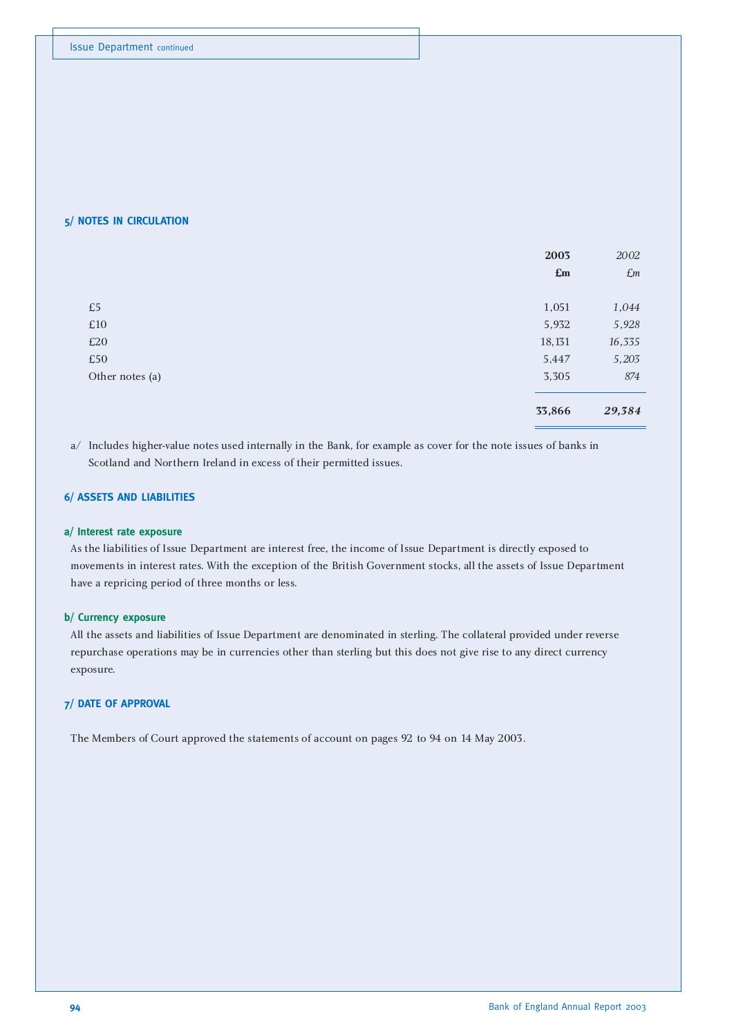#### **5/ NOTES IN CIRCULATION**

|                 | 2003           | 2002        |
|-----------------|----------------|-------------|
|                 | $\mathbf{E}$ m | $\pounds m$ |
|                 |                |             |
| £5              | 1,051          | 1,044       |
| $\pounds10$     | 5,932          | 5,928       |
| £20             | 18,131         | 16,335      |
| £50             | 5,447          | 5,203       |
| Other notes (a) | 3,305          | 874         |
|                 |                |             |
|                 | 33,866         | 29,384      |

a/ Includes higher-value notes used internally in the Bank, for example as cover for the note issues of banks in Scotland and Northern Ireland in excess of their permitted issues.

#### **6/ ASSETS AND LIABILITIES**

#### **a/ Interest rate exposure**

As the liabilities of Issue Department are interest free, the income of Issue Department is directly exposed to movements in interest rates. With the exception of the British Government stocks, all the assets of Issue Department have a repricing period of three months or less.

#### **b/ Currency exposure**

All the assets and liabilities of Issue Department are denominated in sterling. The collateral provided under reverse repurchase operations may be in currencies other than sterling but this does not give rise to any direct currency exposure.

#### **7/ DATE OF APPROVAL**

The Members of Court approved the statements of account on pages 92 to 94 on 14 May 2003.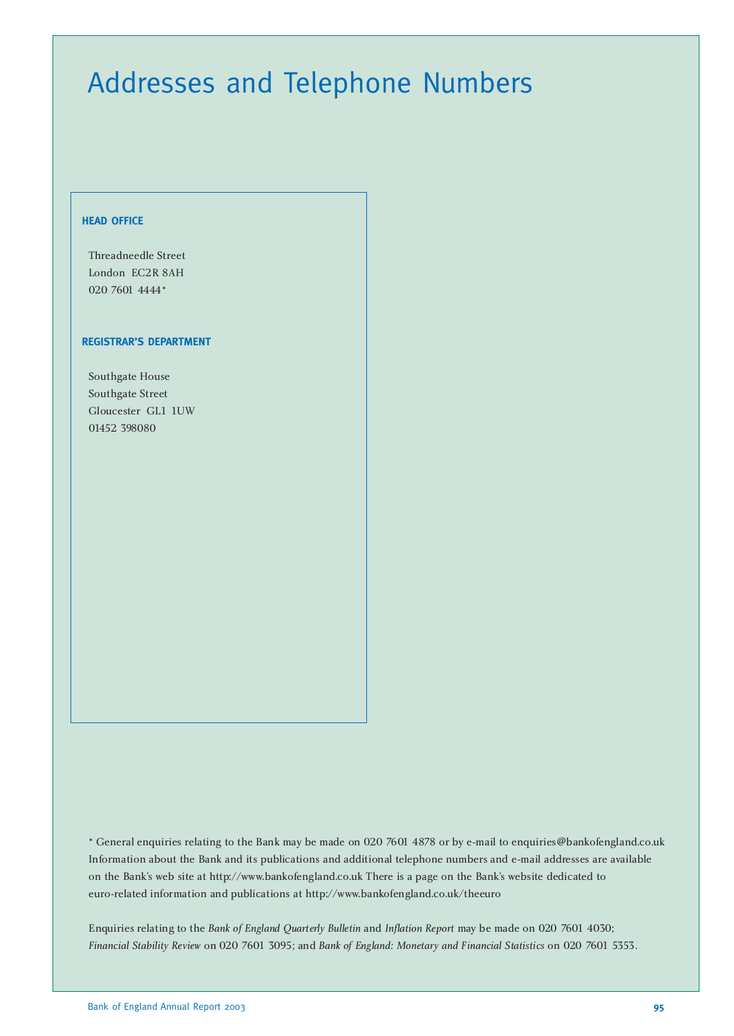# Addresses and Telephone Numbers

#### **HEAD OFFICE**

Threadneedle Street London EC2R 8AH 020 7601 4444\*

#### **REGISTRAR'S DEPARTMENT**

Southgate House Southgate Street Gloucester GL1 1UW 01452 398080

\* General enquiries relating to the Bank may be made on 020 7601 4878 or by e-mail to enquiries@bankofengland.co.uk Information about the Bank and its publications and additional telephone numbers and e-mail addresses are available on the Bank's web site at http://www.bankofengland.co.uk There is a page on the Bank's website dedicated to euro-related information and publications at http://www.bankofengland.co.uk/theeuro

Enquiries relating to the *Bank of England Quarterly Bulletin* and *Inflation Report* may be made on 020 7601 4030; *Financial Stability Review* on 020 7601 3095; and *Bank of England: Monetary and Financial Statistics* on 020 7601 5353.